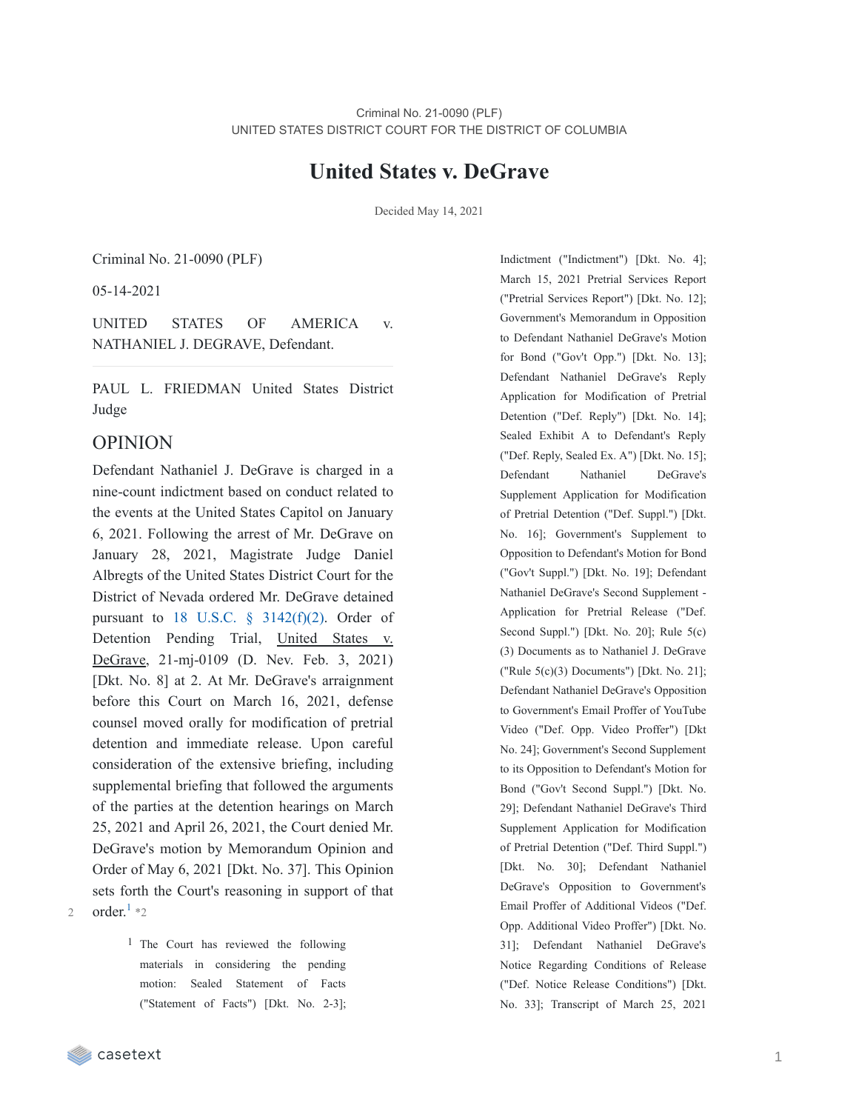### **United States v. DeGrave**

Decided May 14, 2021

Criminal No. 21-0090 (PLF)

05-14-2021

UNITED STATES OF AMERICA v. NATHANIEL J. DEGRAVE, Defendant.

PAUL L. FRIEDMAN United States District Judge

#### OPINION

Defendant Nathaniel J. DeGrave is charged in a nine-count indictment based on conduct related to the events at the United States Capitol on January 6, 2021. Following the arrest of Mr. DeGrave on January 28, 2021, Magistrate Judge Daniel Albregts of the United States District Court for the District of Nevada ordered Mr. DeGrave detained pursuant to 18 U.S.C.  $\S$  [3142\(f\)\(2\)](https://casetext.com/statute/united-states-code/title-18-crimes-and-criminal-procedure/part-ii-criminal-procedure/chapter-207-release-and-detention-pending-judicial-proceedings/section-3142-release-or-detention-of-a-defendant-pending-trial). Order of Detention Pending Trial, United States v. DeGrave, 21-mj-0109 (D. Nev. Feb. 3, 2021) [Dkt. No. 8] at 2. At Mr. DeGrave's arraignment before this Court on March 16, 2021, defense counsel moved orally for modification of pretrial detention and immediate release. Upon careful consideration of the extensive briefing, including supplemental briefing that followed the arguments of the parties at the detention hearings on March 25, 2021 and April 26, 2021, the Court denied Mr. DeGrave's motion by Memorandum Opinion and Order of May 6, 2021 [Dkt. No. 37]. This Opinion sets forth the Court's reasoning in support of that 2 order. $1 *_2$  $1 *_2$ 

> 1 The Court has reviewed the following materials in considering the pending motion: Sealed Statement of Facts ("Statement of Facts") [Dkt. No. 2-3];

Indictment ("Indictment") [Dkt. No. 4]; March 15, 2021 Pretrial Services Report ("Pretrial Services Report") [Dkt. No. 12]; Government's Memorandum in Opposition to Defendant Nathaniel DeGrave's Motion for Bond ("Gov't Opp.") [Dkt. No. 13]; Defendant Nathaniel DeGrave's Reply Application for Modification of Pretrial Detention ("Def. Reply") [Dkt. No. 14]; Sealed Exhibit A to Defendant's Reply ("Def. Reply, Sealed Ex. A") [Dkt. No. 15]; Defendant Nathaniel DeGrave's Supplement Application for Modification of Pretrial Detention ("Def. Suppl.") [Dkt. No. 16]; Government's Supplement to Opposition to Defendant's Motion for Bond ("Gov't Suppl.") [Dkt. No. 19]; Defendant Nathaniel DeGrave's Second Supplement - Application for Pretrial Release ("Def. Second Suppl.") [Dkt. No. 20]; Rule 5(c) (3) Documents as to Nathaniel J. DeGrave ("Rule 5(c)(3) Documents") [Dkt. No. 21]; Defendant Nathaniel DeGrave's Opposition to Government's Email Proffer of YouTube Video ("Def. Opp. Video Proffer") [Dkt No. 24]; Government's Second Supplement to its Opposition to Defendant's Motion for Bond ("Gov't Second Suppl.") [Dkt. No. 29]; Defendant Nathaniel DeGrave's Third Supplement Application for Modification of Pretrial Detention ("Def. Third Suppl.") [Dkt. No. 30]; Defendant Nathaniel DeGrave's Opposition to Government's Email Proffer of Additional Videos ("Def. Opp. Additional Video Proffer") [Dkt. No. 31]; Defendant Nathaniel DeGrave's Notice Regarding Conditions of Release ("Def. Notice Release Conditions") [Dkt. No. 33]; Transcript of March 25, 2021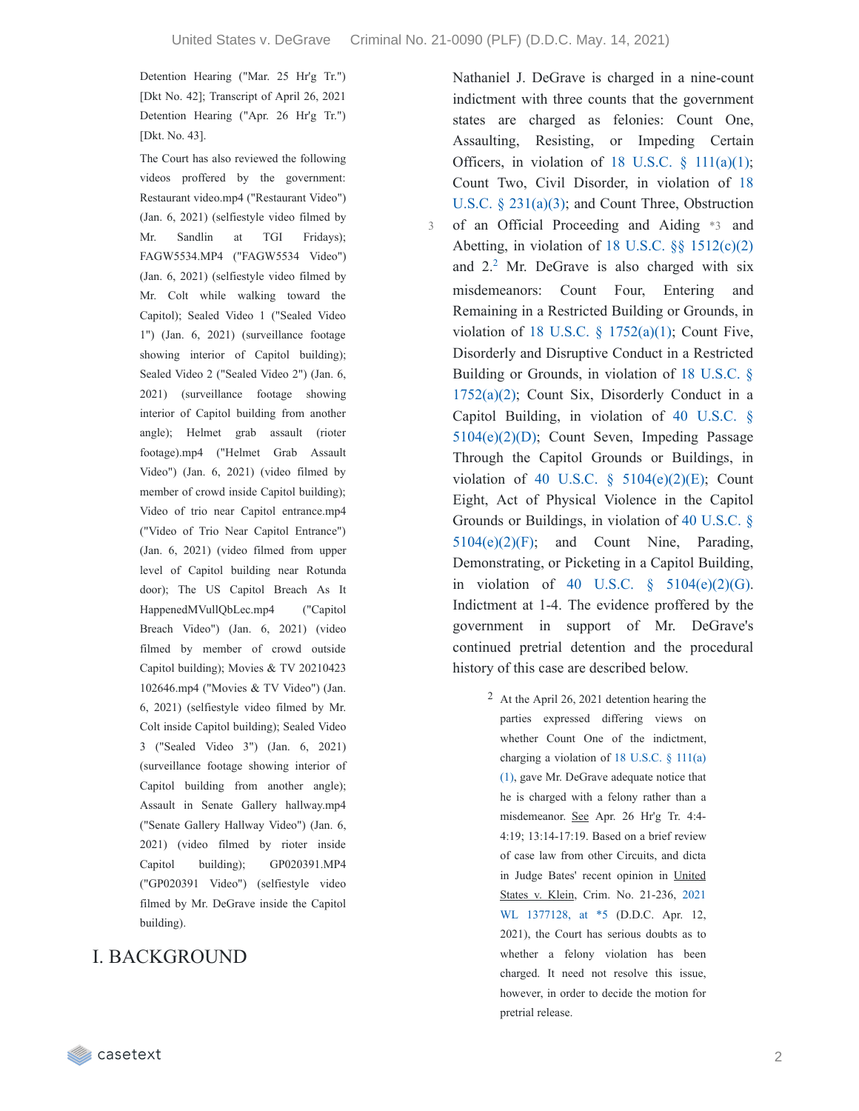3

Detention Hearing ("Mar. 25 Hr'g Tr.") [Dkt No. 42]; Transcript of April 26, 2021 Detention Hearing ("Apr. 26 Hr'g Tr.") [Dkt. No. 43].

The Court has also reviewed the following videos proffered by the government: Restaurant video.mp4 ("Restaurant Video") (Jan. 6, 2021) (selfiestyle video filmed by Mr. Sandlin at TGI Fridays); FAGW5534.MP4 ("FAGW5534 Video") (Jan. 6, 2021) (selfiestyle video filmed by Mr. Colt while walking toward the Capitol); Sealed Video 1 ("Sealed Video 1") (Jan. 6, 2021) (surveillance footage showing interior of Capitol building); Sealed Video 2 ("Sealed Video 2") (Jan. 6, 2021) (surveillance footage showing interior of Capitol building from another angle); Helmet grab assault (rioter footage).mp4 ("Helmet Grab Assault Video") (Jan. 6, 2021) (video filmed by member of crowd inside Capitol building); Video of trio near Capitol entrance.mp4 ("Video of Trio Near Capitol Entrance") (Jan. 6, 2021) (video filmed from upper level of Capitol building near Rotunda door); The US Capitol Breach As It HappenedMVullQbLec.mp4 ("Capitol Breach Video") (Jan. 6, 2021) (video filmed by member of crowd outside Capitol building); Movies & TV 20210423 102646.mp4 ("Movies & TV Video") (Jan. 6, 2021) (selfiestyle video filmed by Mr. Colt inside Capitol building); Sealed Video 3 ("Sealed Video 3") (Jan. 6, 2021) (surveillance footage showing interior of Capitol building from another angle); Assault in Senate Gallery hallway.mp4 ("Senate Gallery Hallway Video") (Jan. 6, 2021) (video filmed by rioter inside Capitol building); GP020391.MP4 ("GP020391 Video") (selfiestyle video filmed by Mr. DeGrave inside the Capitol building).

### I. BACKGROUND

Nathaniel J. DeGrave is charged in a nine-count indictment with three counts that the government states are charged as felonies: Count One, Assaulting, Resisting, or Impeding Certain Officers, in violation of  $18$  U.S.C. §  $111(a)(1)$ ; Count Two, Civil Disorder, in violation of 18 U.S.C. § 231(a)(3); and Count Three, [Obstruction](https://casetext.com/statute/united-states-code/title-18-crimes-and-criminal-procedure/part-i-crimes/chapter-12-civil-disorders/section-231-civil-disorders) of an Official Proceeding and Aiding \*3 and Abetting, in violation of 18 U.S.C. §§ [1512\(c\)\(2\)](https://casetext.com/statute/united-states-code/title-18-crimes-and-criminal-procedure/part-i-crimes/chapter-73-obstruction-of-justice/section-1512-tampering-with-a-witness-victim-or-an-informant) and  $2<sup>2</sup>$  $2<sup>2</sup>$  Mr. DeGrave is also charged with six misdemeanors: Count Four, Entering and Remaining in a Restricted Building or Grounds, in violation of 18 U.S.C. § [1752\(a\)\(1\);](https://casetext.com/statute/united-states-code/title-18-crimes-and-criminal-procedure/part-i-crimes/chapter-84-presidential-and-presidential-staff-assassination-kidnapping-and-assault/section-1752-restricted-building-or-grounds) Count Five, Disorderly and Disruptive Conduct in a Restricted Building or Grounds, in violation of 18 U.S.C. §  $1752(a)(2)$ ; Count Six, Disorderly Conduct in a Capitol Building, in violation of 40 U.S.C. § [5104\(e\)\(2\)\(D\);](https://casetext.com/statute/united-states-code/title-40-public-buildings-property-and-works/subtitle-ii-public-buildings-and-works/part-b-united-states-capitol/chapter-51-united-states-capitol-buildings-and-grounds/section-5104-unlawful-activities) Count Seven, Impeding Passage Through the Capitol Grounds or Buildings, in violation of 40 U.S.C.  $\S$  [5104\(e\)\(2\)\(E\);](https://casetext.com/statute/united-states-code/title-40-public-buildings-property-and-works/subtitle-ii-public-buildings-and-works/part-b-united-states-capitol/chapter-51-united-states-capitol-buildings-and-grounds/section-5104-unlawful-activities) Count Eight, Act of Physical Violence in the Capitol Grounds or Buildings, in violation of 40 U.S.C. § [5104\(e\)\(2\)\(F\);](https://casetext.com/statute/united-states-code/title-40-public-buildings-property-and-works/subtitle-ii-public-buildings-and-works/part-b-united-states-capitol/chapter-51-united-states-capitol-buildings-and-grounds/section-5104-unlawful-activities) and Count Nine, Parading, Demonstrating, or Picketing in a Capitol Building, in violation of 40 U.S.C.  $\S$  [5104\(e\)\(2\)\(G\).](https://casetext.com/statute/united-states-code/title-40-public-buildings-property-and-works/subtitle-ii-public-buildings-and-works/part-b-united-states-capitol/chapter-51-united-states-capitol-buildings-and-grounds/section-5104-unlawful-activities) Indictment at 1-4. The evidence proffered by the government in support of Mr. DeGrave's continued pretrial detention and the procedural history of this case are described below.

> 2 At the April 26, 2021 detention hearing the parties expressed differing views on whether Count One of the indictment, charging a violation of 18 U.S.C. § 111(a) (1), gave Mr. [DeGrave](https://casetext.com/statute/united-states-code/title-18-crimes-and-criminal-procedure/part-i-crimes/chapter-7-assault/section-111-assaulting-resisting-or-impeding-certain-officers-or-employees) adequate notice that he is charged with a felony rather than a misdemeanor. See Apr. 26 Hr'g Tr. 4:4- 4:19; 13:14-17:19. Based on a brief review of case law from other Circuits, and dicta in Judge Bates' recent opinion in United States v. Klein, Crim. No. 21-236, 2021 WL [1377128,](https://casetext.com/case/united-states-v-klein-95#p5) at \*5 (D.D.C. Apr. 12, 2021), the Court has serious doubts as to whether a felony violation has been charged. It need not resolve this issue, however, in order to decide the motion for pretrial release.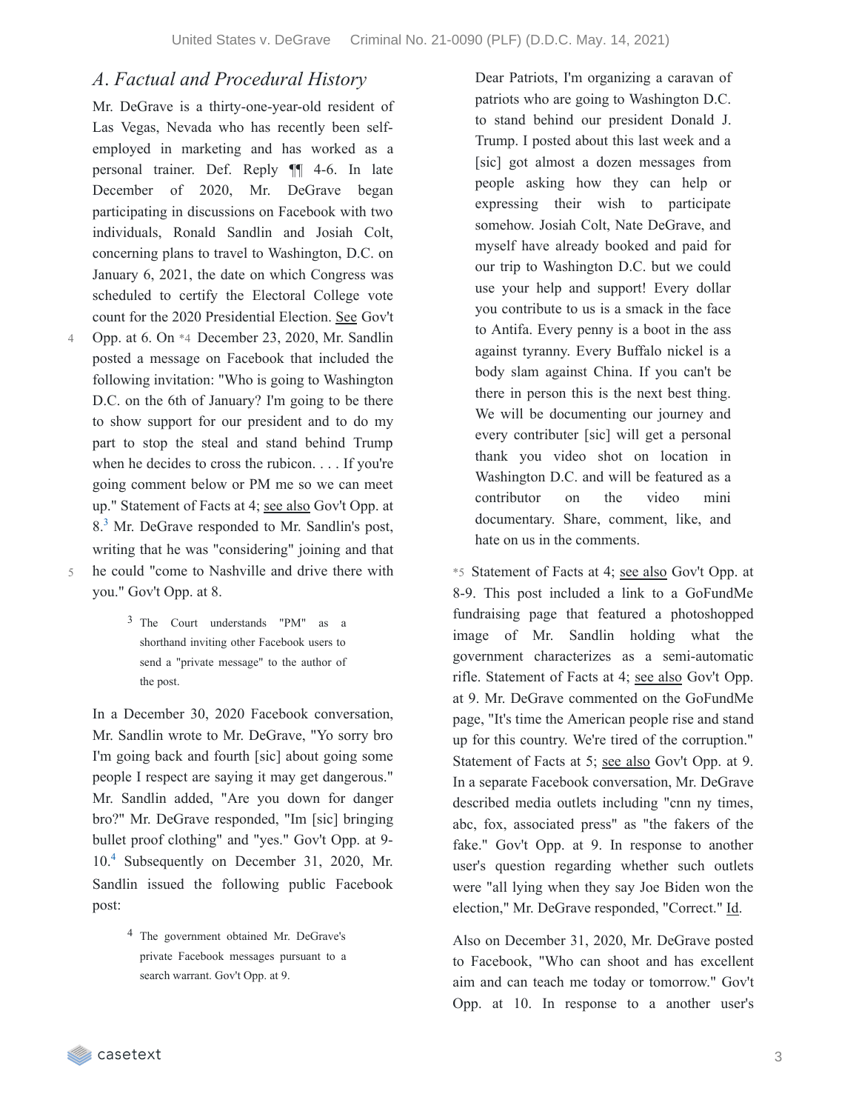### *A*. *Factual and Procedural History*

Mr. DeGrave is a thirty-one-year-old resident of Las Vegas, Nevada who has recently been selfemployed in marketing and has worked as a personal trainer. Def. Reply ¶¶ 4-6. In late December of 2020, Mr. DeGrave began participating in discussions on Facebook with two individuals, Ronald Sandlin and Josiah Colt, concerning plans to travel to Washington, D.C. on January 6, 2021, the date on which Congress was scheduled to certify the Electoral College vote count for the 2020 Presidential Election. See Gov't

Opp. at 6. On \*4 December 23, 2020, Mr. Sandlin posted a message on Facebook that included the following invitation: "Who is going to Washington D.C. on the 6th of January? I'm going to be there to show support for our president and to do my part to stop the steal and stand behind Trump when he decides to cross the rubicon. . . . If you're going comment below or PM me so we can meet up." Statement of Facts at 4; see also Gov't Opp. at 8.<sup>[3](https://casetext.com/_print/doc/united-states-v-degrave-5?_printIncludeHighlights=false&_printIncludeKeyPassages=false&_printIsTwoColumn=true&_printEmail=&_printHighlightsKey=#N196663)</sup> Mr. DeGrave responded to Mr. Sandlin's post, writing that he was "considering" joining and that he could "come to Nashville and drive there with you." Gov't Opp. at 8. 4 5

> 3 The Court understands "PM" as a shorthand inviting other Facebook users to send a "private message" to the author of the post.

In a December 30, 2020 Facebook conversation, Mr. Sandlin wrote to Mr. DeGrave, "Yo sorry bro I'm going back and fourth [sic] about going some people I respect are saying it may get dangerous." Mr. Sandlin added, "Are you down for danger bro?" Mr. DeGrave responded, "Im [sic] bringing bullet proof clothing" and "yes." Gov't Opp. at 9- 10.<sup>[4](https://casetext.com/_print/doc/united-states-v-degrave-5?_printIncludeHighlights=false&_printIncludeKeyPassages=false&_printIsTwoColumn=true&_printEmail=&_printHighlightsKey=#N196670)</sup> Subsequently on December 31, 2020, Mr. Sandlin issued the following public Facebook post:

> 4 The government obtained Mr. DeGrave's private Facebook messages pursuant to a search warrant. Gov't Opp. at 9.

Dear Patriots, I'm organizing a caravan of patriots who are going to Washington D.C. to stand behind our president Donald J. Trump. I posted about this last week and a [sic] got almost a dozen messages from people asking how they can help or expressing their wish to participate somehow. Josiah Colt, Nate DeGrave, and myself have already booked and paid for our trip to Washington D.C. but we could use your help and support! Every dollar you contribute to us is a smack in the face to Antifa. Every penny is a boot in the ass against tyranny. Every Buffalo nickel is a body slam against China. If you can't be there in person this is the next best thing. We will be documenting our journey and every contributer [sic] will get a personal thank you video shot on location in Washington D.C. and will be featured as a contributor on the video mini documentary. Share, comment, like, and hate on us in the comments.

\*5 Statement of Facts at 4; see also Gov't Opp. at 8-9. This post included a link to a GoFundMe fundraising page that featured a photoshopped image of Mr. Sandlin holding what the government characterizes as a semi-automatic rifle. Statement of Facts at 4; see also Gov't Opp. at 9. Mr. DeGrave commented on the GoFundMe page, "It's time the American people rise and stand up for this country. We're tired of the corruption." Statement of Facts at 5; see also Gov't Opp. at 9. In a separate Facebook conversation, Mr. DeGrave described media outlets including "cnn ny times, abc, fox, associated press" as "the fakers of the fake." Gov't Opp. at 9. In response to another user's question regarding whether such outlets were "all lying when they say Joe Biden won the election," Mr. DeGrave responded, "Correct." Id.

Also on December 31, 2020, Mr. DeGrave posted to Facebook, "Who can shoot and has excellent aim and can teach me today or tomorrow." Gov't Opp. at 10. In response to a another user's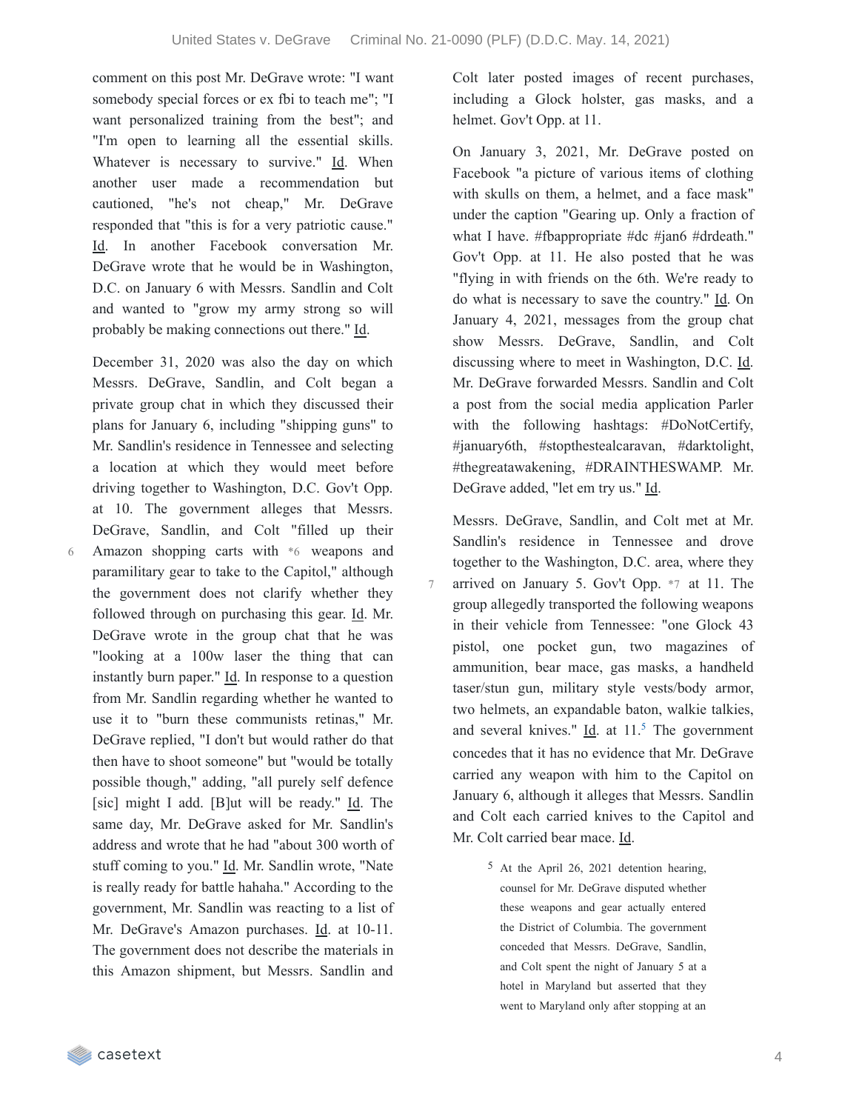7

comment on this post Mr. DeGrave wrote: "I want somebody special forces or ex fbi to teach me"; "I want personalized training from the best"; and "I'm open to learning all the essential skills. Whatever is necessary to survive." Id. When another user made a recommendation but cautioned, "he's not cheap," Mr. DeGrave responded that "this is for a very patriotic cause." Id. In another Facebook conversation Mr. DeGrave wrote that he would be in Washington, D.C. on January 6 with Messrs. Sandlin and Colt and wanted to "grow my army strong so will probably be making connections out there." Id.

December 31, 2020 was also the day on which Messrs. DeGrave, Sandlin, and Colt began a private group chat in which they discussed their plans for January 6, including "shipping guns" to Mr. Sandlin's residence in Tennessee and selecting a location at which they would meet before driving together to Washington, D.C. Gov't Opp. at 10. The government alleges that Messrs. DeGrave, Sandlin, and Colt "filled up their Amazon shopping carts with \*6 weapons and paramilitary gear to take to the Capitol," although the government does not clarify whether they followed through on purchasing this gear. Id. Mr. DeGrave wrote in the group chat that he was "looking at a 100w laser the thing that can instantly burn paper." Id. In response to a question from Mr. Sandlin regarding whether he wanted to use it to "burn these communists retinas," Mr. DeGrave replied, "I don't but would rather do that then have to shoot someone" but "would be totally possible though," adding, "all purely self defence [sic] might I add. [B]ut will be ready." Id. The same day, Mr. DeGrave asked for Mr. Sandlin's address and wrote that he had "about 300 worth of stuff coming to you." Id. Mr. Sandlin wrote, "Nate is really ready for battle hahaha." According to the government, Mr. Sandlin was reacting to a list of Mr. DeGrave's Amazon purchases. Id. at 10-11. The government does not describe the materials in this Amazon shipment, but Messrs. Sandlin and

Colt later posted images of recent purchases, including a Glock holster, gas masks, and a helmet. Gov't Opp. at 11.

On January 3, 2021, Mr. DeGrave posted on Facebook "a picture of various items of clothing with skulls on them, a helmet, and a face mask" under the caption "Gearing up. Only a fraction of what I have. #fbappropriate #dc #jan6 #drdeath." Gov't Opp. at 11. He also posted that he was "flying in with friends on the 6th. We're ready to do what is necessary to save the country." Id. On January 4, 2021, messages from the group chat show Messrs. DeGrave, Sandlin, and Colt discussing where to meet in Washington, D.C. Id. Mr. DeGrave forwarded Messrs. Sandlin and Colt a post from the social media application Parler with the following hashtags: #DoNotCertify, #january6th, #stopthestealcaravan, #darktolight, #thegreatawakening, #DRAINTHESWAMP. Mr. DeGrave added, "let em try us." Id.

Messrs. DeGrave, Sandlin, and Colt met at Mr. Sandlin's residence in Tennessee and drove together to the Washington, D.C. area, where they arrived on January 5. Gov't Opp. \*7 at 11. The group allegedly transported the following weapons in their vehicle from Tennessee: "one Glock 43 pistol, one pocket gun, two magazines of ammunition, bear mace, gas masks, a handheld taser/stun gun, military style vests/body armor, two helmets, an expandable baton, walkie talkies, and several knives."  $\underline{Id}$  at 11.<sup>[5](https://casetext.com/_print/doc/united-states-v-degrave-5?_printIncludeHighlights=false&_printIncludeKeyPassages=false&_printIsTwoColumn=true&_printEmail=&_printHighlightsKey=#N196753)</sup> The government concedes that it has no evidence that Mr. DeGrave carried any weapon with him to the Capitol on January 6, although it alleges that Messrs. Sandlin and Colt each carried knives to the Capitol and Mr. Colt carried bear mace. Id.

> 5 At the April 26, 2021 detention hearing, counsel for Mr. DeGrave disputed whether these weapons and gear actually entered the District of Columbia. The government conceded that Messrs. DeGrave, Sandlin, and Colt spent the night of January 5 at a hotel in Maryland but asserted that they went to Maryland only after stopping at an

6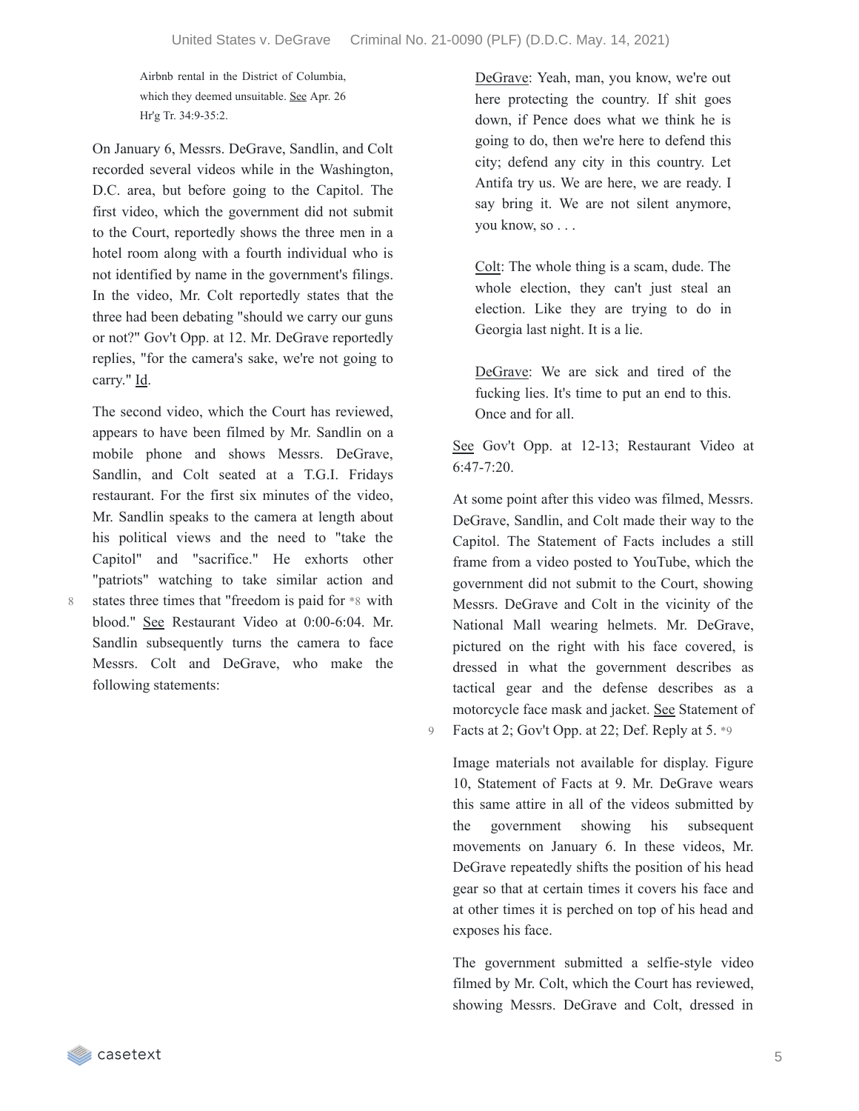Airbnb rental in the District of Columbia, which they deemed unsuitable. See Apr. 26 Hr'g Tr. 34:9-35:2.

On January 6, Messrs. DeGrave, Sandlin, and Colt recorded several videos while in the Washington, D.C. area, but before going to the Capitol. The first video, which the government did not submit to the Court, reportedly shows the three men in a hotel room along with a fourth individual who is not identified by name in the government's filings. In the video, Mr. Colt reportedly states that the three had been debating "should we carry our guns or not?" Gov't Opp. at 12. Mr. DeGrave reportedly replies, "for the camera's sake, we're not going to carry." Id.

The second video, which the Court has reviewed, appears to have been filmed by Mr. Sandlin on a mobile phone and shows Messrs. DeGrave, Sandlin, and Colt seated at a T.G.I. Fridays restaurant. For the first six minutes of the video, Mr. Sandlin speaks to the camera at length about his political views and the need to "take the Capitol" and "sacrifice." He exhorts other "patriots" watching to take similar action and states three times that "freedom is paid for \*8 with blood." See Restaurant Video at 0:00-6:04. Mr. Sandlin subsequently turns the camera to face Messrs. Colt and DeGrave, who make the following statements:

8

DeGrave: Yeah, man, you know, we're out here protecting the country. If shit goes down, if Pence does what we think he is going to do, then we're here to defend this city; defend any city in this country. Let Antifa try us. We are here, we are ready. I say bring it. We are not silent anymore, you know, so . . .

Colt: The whole thing is a scam, dude. The whole election, they can't just steal an election. Like they are trying to do in Georgia last night. It is a lie.

DeGrave: We are sick and tired of the fucking lies. It's time to put an end to this. Once and for all.

See Gov't Opp. at 12-13; Restaurant Video at 6:47-7:20.

At some point after this video was filmed, Messrs. DeGrave, Sandlin, and Colt made their way to the Capitol. The Statement of Facts includes a still frame from a video posted to YouTube, which the government did not submit to the Court, showing Messrs. DeGrave and Colt in the vicinity of the National Mall wearing helmets. Mr. DeGrave, pictured on the right with his face covered, is dressed in what the government describes as tactical gear and the defense describes as a motorcycle face mask and jacket. See Statement of 9 Facts at 2; Gov't Opp. at 22; Def. Reply at 5. \*9

Image materials not available for display. Figure 10, Statement of Facts at 9. Mr. DeGrave wears this same attire in all of the videos submitted by the government showing his subsequent movements on January 6. In these videos, Mr. DeGrave repeatedly shifts the position of his head gear so that at certain times it covers his face and at other times it is perched on top of his head and exposes his face.

The government submitted a selfie-style video filmed by Mr. Colt, which the Court has reviewed, showing Messrs. DeGrave and Colt, dressed in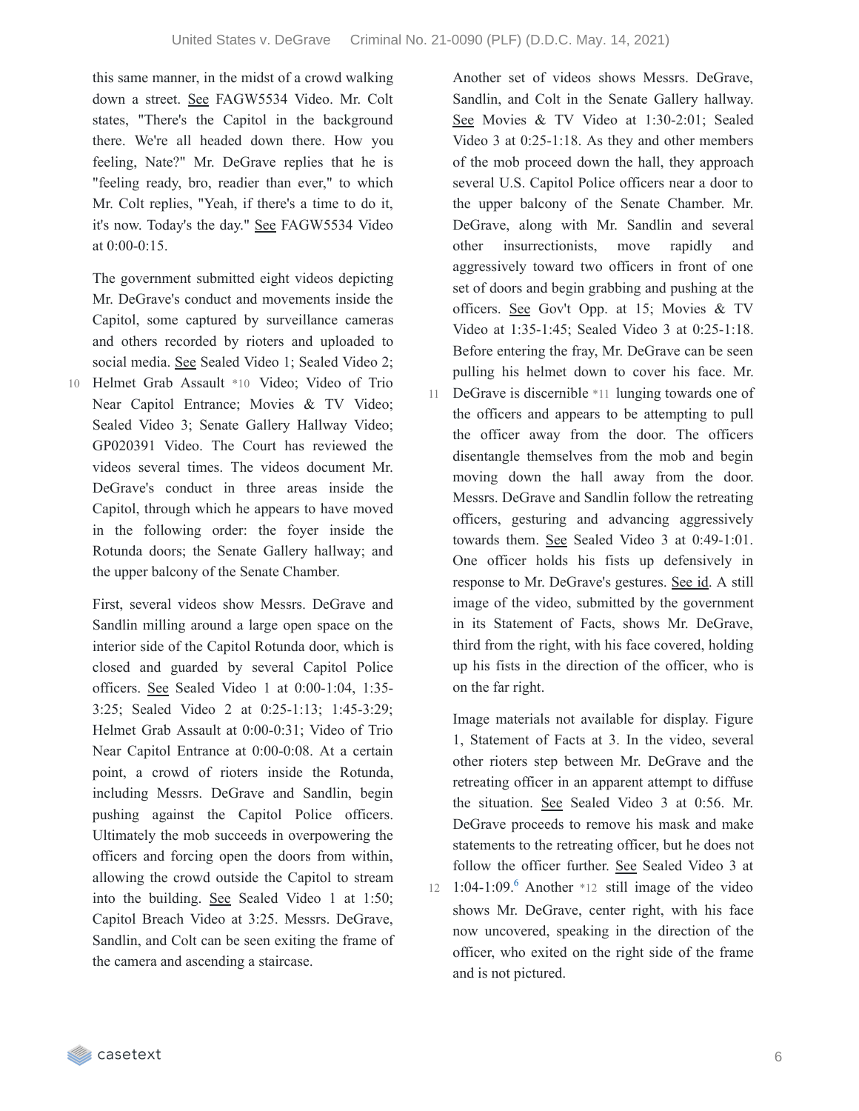this same manner, in the midst of a crowd walking down a street. See FAGW5534 Video. Mr. Colt states, "There's the Capitol in the background there. We're all headed down there. How you feeling, Nate?" Mr. DeGrave replies that he is "feeling ready, bro, readier than ever," to which Mr. Colt replies, "Yeah, if there's a time to do it, it's now. Today's the day." See FAGW5534 Video at 0:00-0:15.

The government submitted eight videos depicting Mr. DeGrave's conduct and movements inside the Capitol, some captured by surveillance cameras and others recorded by rioters and uploaded to social media. See Sealed Video 1; Sealed Video 2;

Helmet Grab Assault \*10 Video; Video of Trio Near Capitol Entrance; Movies & TV Video; Sealed Video 3; Senate Gallery Hallway Video; GP020391 Video. The Court has reviewed the videos several times. The videos document Mr. DeGrave's conduct in three areas inside the Capitol, through which he appears to have moved in the following order: the foyer inside the Rotunda doors; the Senate Gallery hallway; and the upper balcony of the Senate Chamber. 10

First, several videos show Messrs. DeGrave and Sandlin milling around a large open space on the interior side of the Capitol Rotunda door, which is closed and guarded by several Capitol Police officers. See Sealed Video 1 at 0:00-1:04, 1:35- 3:25; Sealed Video 2 at 0:25-1:13; 1:45-3:29; Helmet Grab Assault at 0:00-0:31; Video of Trio Near Capitol Entrance at 0:00-0:08. At a certain point, a crowd of rioters inside the Rotunda, including Messrs. DeGrave and Sandlin, begin pushing against the Capitol Police officers. Ultimately the mob succeeds in overpowering the officers and forcing open the doors from within, allowing the crowd outside the Capitol to stream into the building. See Sealed Video 1 at 1:50; Capitol Breach Video at 3:25. Messrs. DeGrave, Sandlin, and Colt can be seen exiting the frame of the camera and ascending a staircase.

Another set of videos shows Messrs. DeGrave, Sandlin, and Colt in the Senate Gallery hallway. See Movies & TV Video at 1:30-2:01; Sealed Video 3 at 0:25-1:18. As they and other members of the mob proceed down the hall, they approach several U.S. Capitol Police officers near a door to the upper balcony of the Senate Chamber. Mr. DeGrave, along with Mr. Sandlin and several other insurrectionists, move rapidly and aggressively toward two officers in front of one set of doors and begin grabbing and pushing at the officers. See Gov't Opp. at 15; Movies & TV Video at 1:35-1:45; Sealed Video 3 at 0:25-1:18. Before entering the fray, Mr. DeGrave can be seen pulling his helmet down to cover his face. Mr. 11 DeGrave is discernible \*11 lunging towards one of the officers and appears to be attempting to pull the officer away from the door. The officers disentangle themselves from the mob and begin moving down the hall away from the door. Messrs. DeGrave and Sandlin follow the retreating officers, gesturing and advancing aggressively towards them. See Sealed Video 3 at 0:49-1:01. One officer holds his fists up defensively in response to Mr. DeGrave's gestures. See id. A still image of the video, submitted by the government in its Statement of Facts, shows Mr. DeGrave, third from the right, with his face covered, holding up his fists in the direction of the officer, who is on the far right.

Image materials not available for display. Figure 1, Statement of Facts at 3. In the video, several other rioters step between Mr. DeGrave and the retreating officer in an apparent attempt to diffuse the situation. See Sealed Video 3 at 0:56. Mr. DeGrave proceeds to remove his mask and make statements to the retreating officer, but he does not follow the officer further. See Sealed Video 3 at

12 1:04-1:09. Another  $*12$  still image of the video shows Mr. DeGrave, center right, with his face now uncovered, speaking in the direction of the officer, who exited on the right side of the frame and is not pictured.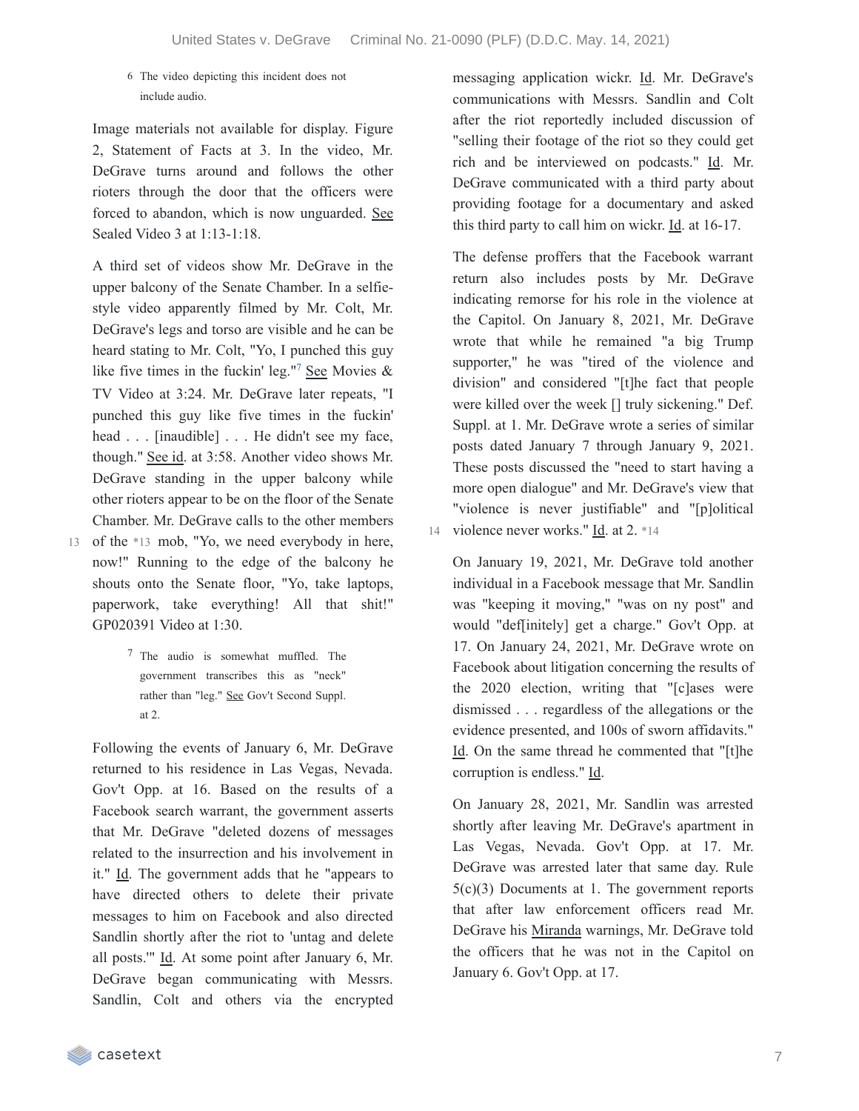#### 6 The video depicting this incident does not include audio.

Image materials not available for display. Figure 2, Statement of Facts at 3. In the video, Mr. DeGrave turns around and follows the other rioters through the door that the officers were forced to abandon, which is now unguarded. See Sealed Video 3 at 1:13-1:18.

A third set of videos show Mr. DeGrave in the upper balcony of the Senate Chamber. In a selfiestyle video apparently filmed by Mr. Colt, Mr. DeGrave's legs and torso are visible and he can be heard stating to Mr. Colt, "Yo, I punched this guy like five times in the fuckin' leg."<sup>[7](https://casetext.com/_print/doc/united-states-v-degrave-5?_printIncludeHighlights=false&_printIncludeKeyPassages=false&_printIsTwoColumn=true&_printEmail=&_printHighlightsKey=#N196875)</sup> See Movies & TV Video at 3:24. Mr. DeGrave later repeats, "I punched this guy like five times in the fuckin' head . . . [inaudible] . . . He didn't see my face, though." See id. at 3:58. Another video shows Mr. DeGrave standing in the upper balcony while other rioters appear to be on the floor of the Senate Chamber. Mr. DeGrave calls to the other members

- 13 of the \*13 mob, "Yo, we need everybody in here, now!" Running to the edge of the balcony he shouts onto the Senate floor, "Yo, take laptops, paperwork, take everything! All that shit!" GP020391 Video at 1:30.
	- 7 The audio is somewhat muffled. The government transcribes this as "neck" rather than "leg." See Gov't Second Suppl. at 2.

Following the events of January 6, Mr. DeGrave returned to his residence in Las Vegas, Nevada. Gov't Opp. at 16. Based on the results of a Facebook search warrant, the government asserts that Mr. DeGrave "deleted dozens of messages related to the insurrection and his involvement in it." Id. The government adds that he "appears to have directed others to delete their private messages to him on Facebook and also directed Sandlin shortly after the riot to 'untag and delete all posts.'" Id. At some point after January 6, Mr. DeGrave began communicating with Messrs. Sandlin, Colt and others via the encrypted messaging application wickr. Id. Mr. DeGrave's communications with Messrs. Sandlin and Colt after the riot reportedly included discussion of "selling their footage of the riot so they could get rich and be interviewed on podcasts." Id. Mr. DeGrave communicated with a third party about providing footage for a documentary and asked this third party to call him on wickr. Id. at 16-17.

The defense proffers that the Facebook warrant return also includes posts by Mr. DeGrave indicating remorse for his role in the violence at the Capitol. On January 8, 2021, Mr. DeGrave wrote that while he remained "a big Trump supporter," he was "tired of the violence and division" and considered "[t]he fact that people were killed over the week [] truly sickening." Def. Suppl. at 1. Mr. DeGrave wrote a series of similar posts dated January 7 through January 9, 2021. These posts discussed the "need to start having a more open dialogue" and Mr. DeGrave's view that "violence is never justifiable" and "[p]olitical 14 violence never works." Id. at 2. \*14

On January 19, 2021, Mr. DeGrave told another individual in a Facebook message that Mr. Sandlin was "keeping it moving," "was on ny post" and would "def[initely] get a charge." Gov't Opp. at 17. On January 24, 2021, Mr. DeGrave wrote on Facebook about litigation concerning the results of the 2020 election, writing that "[c]ases were dismissed . . . regardless of the allegations or the evidence presented, and 100s of sworn affidavits." Id. On the same thread he commented that "[t]he corruption is endless." Id.

On January 28, 2021, Mr. Sandlin was arrested shortly after leaving Mr. DeGrave's apartment in Las Vegas, Nevada. Gov't Opp. at 17. Mr. DeGrave was arrested later that same day. Rule 5(c)(3) Documents at 1. The government reports that after law enforcement officers read Mr. DeGrave his Miranda warnings, Mr. DeGrave told the officers that he was not in the Capitol on January 6. Gov't Opp. at 17.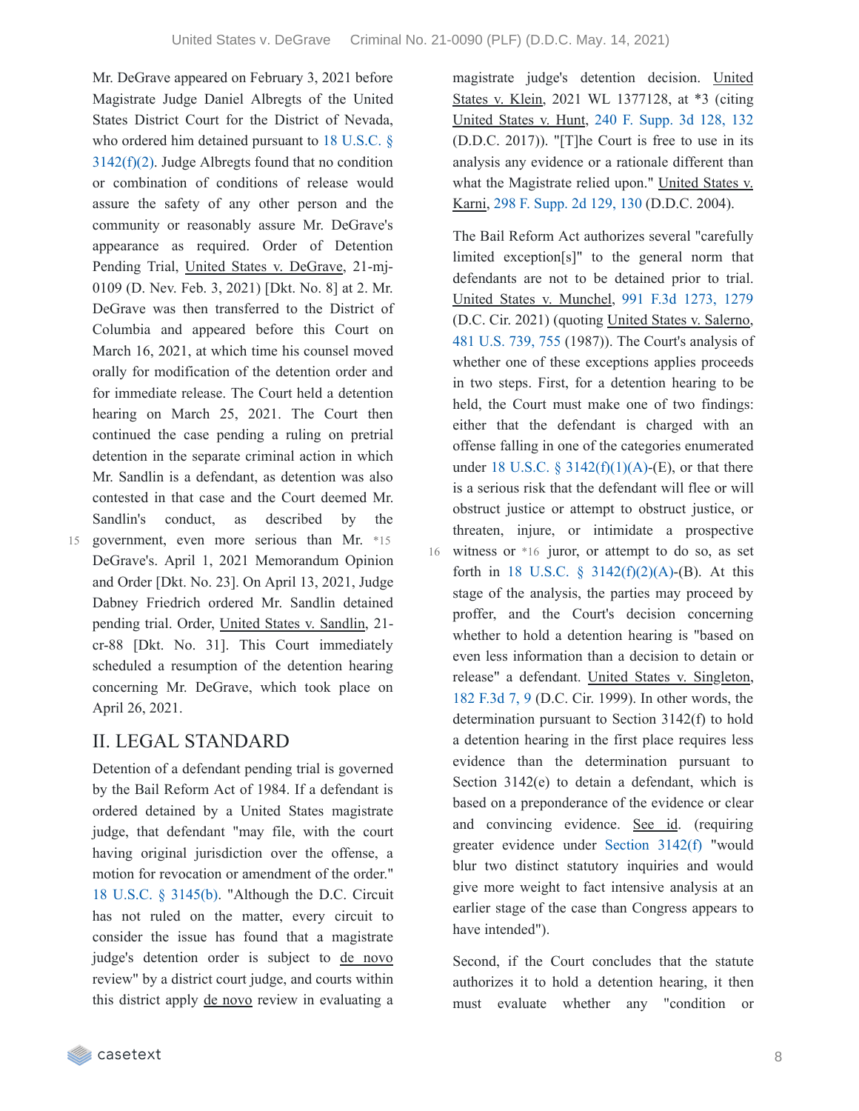16

Mr. DeGrave appeared on February 3, 2021 before Magistrate Judge Daniel Albregts of the United States District Court for the District of Nevada, who ordered him detained pursuant to 18 U.S.C. §  $3142(f)(2)$ . Judge Albregts found that no condition or combination of conditions of release would assure the safety of any other person and the community or reasonably assure Mr. DeGrave's appearance as required. Order of Detention Pending Trial, United States v. DeGrave, 21-mj-0109 (D. Nev. Feb. 3, 2021) [Dkt. No. 8] at 2. Mr. DeGrave was then transferred to the District of Columbia and appeared before this Court on March 16, 2021, at which time his counsel moved orally for modification of the detention order and for immediate release. The Court held a detention hearing on March 25, 2021. The Court then continued the case pending a ruling on pretrial detention in the separate criminal action in which Mr. Sandlin is a defendant, as detention was also contested in that case and the Court deemed Mr. Sandlin's conduct, as described by the 15 government, even more serious than Mr. \*15

DeGrave's. April 1, 2021 Memorandum Opinion and Order [Dkt. No. 23]. On April 13, 2021, Judge Dabney Friedrich ordered Mr. Sandlin detained pending trial. Order, United States v. Sandlin, 21 cr-88 [Dkt. No. 31]. This Court immediately scheduled a resumption of the detention hearing concerning Mr. DeGrave, which took place on April 26, 2021.

### II. LEGAL STANDARD

Detention of a defendant pending trial is governed by the Bail Reform Act of 1984. If a defendant is ordered detained by a United States magistrate judge, that defendant "may file, with the court having original jurisdiction over the offense, a motion for revocation or amendment of the order." 18 U.S.C. § [3145\(b\)](https://casetext.com/statute/united-states-code/title-18-crimes-and-criminal-procedure/part-ii-criminal-procedure/chapter-207-release-and-detention-pending-judicial-proceedings/section-3145-review-and-appeal-of-a-release-or-detention-order). "Although the D.C. Circuit has not ruled on the matter, every circuit to consider the issue has found that a magistrate judge's detention order is subject to de novo review" by a district court judge, and courts within this district apply de novo review in evaluating a

magistrate judge's detention decision. United States v. Klein, 2021 WL 1377128, at \*3 (citing United States v. Hunt, 240 F. [Supp.](https://casetext.com/case/united-states-v-hunt-95#p132) 3d 128, 132 (D.D.C. 2017)). "[T]he Court is free to use in its analysis any evidence or a rationale different than what the Magistrate relied upon." United States v. Karni, 298 F. [Supp.](https://casetext.com/case/us-v-karni#p130) 2d 129, 130 (D.D.C. 2004).

The Bail Reform Act authorizes several "carefully limited exception[s]" to the general norm that defendants are not to be detained prior to trial. United States v. Munchel, 991 F.3d [1273,](https://casetext.com/case/united-states-v-munchel-1#p1279) 1279 (D.C. Cir. 2021) (quoting United States v. Salerno, 481 [U.S.](https://casetext.com/case/united-states-v-salerno-7#p755) 739, 755 (1987)). The Court's analysis of whether one of these exceptions applies proceeds in two steps. First, for a detention hearing to be held, the Court must make one of two findings: either that the defendant is charged with an offense falling in one of the categories enumerated under 18 U.S.C. §  $3142(f)(1)(A)$ -(E), or that there is a serious risk that the defendant will flee or will obstruct justice or attempt to obstruct justice, or threaten, injure, or intimidate a prospective witness or  $*16$  juror, or attempt to do so, as set forth in 18 U.S.C.  $\S$  [3142\(f\)\(2\)\(A\)](https://casetext.com/statute/united-states-code/title-18-crimes-and-criminal-procedure/part-ii-criminal-procedure/chapter-207-release-and-detention-pending-judicial-proceedings/section-3142-release-or-detention-of-a-defendant-pending-trial)-(B). At this stage of the analysis, the parties may proceed by proffer, and the Court's decision concerning whether to hold a detention hearing is "based on even less information than a decision to detain or release" a defendant. United States v. Singleton, 182 [F.3d](https://casetext.com/case/us-v-singleton-68#p9) 7, 9 (D.C. Cir. 1999). In other words, the determination pursuant to Section 3142(f) to hold a detention hearing in the first place requires less evidence than the determination pursuant to Section 3142(e) to detain a defendant, which is based on a preponderance of the evidence or clear and convincing evidence. See id. (requiring greater evidence under [Section](https://casetext.com/statute/united-states-code/title-18-crimes-and-criminal-procedure/part-ii-criminal-procedure/chapter-207-release-and-detention-pending-judicial-proceedings/section-3142-release-or-detention-of-a-defendant-pending-trial) 3142(f) "would blur two distinct statutory inquiries and would give more weight to fact intensive analysis at an earlier stage of the case than Congress appears to have intended").

Second, if the Court concludes that the statute authorizes it to hold a detention hearing, it then must evaluate whether any "condition or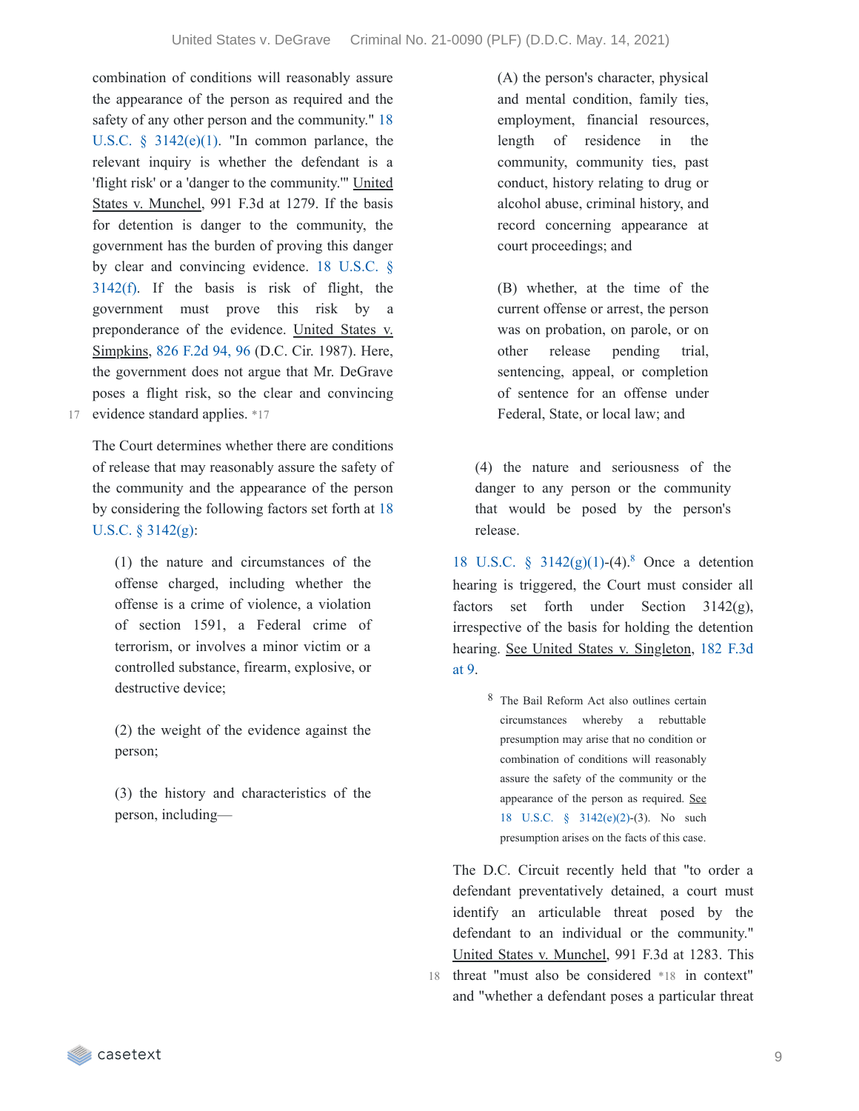combination of conditions will reasonably assure the appearance of the person as required and the safety of any other person and the [community."](https://casetext.com/statute/united-states-code/title-18-crimes-and-criminal-procedure/part-ii-criminal-procedure/chapter-207-release-and-detention-pending-judicial-proceedings/section-3142-release-or-detention-of-a-defendant-pending-trial) 18 U.S.C. § 3142(e)(1). "In common parlance, the relevant inquiry is whether the defendant is a 'flight risk' or a 'danger to the community.'" United States v. Munchel, 991 F.3d at 1279. If the basis for detention is danger to the community, the government has the burden of proving this danger by clear and [convincing](https://casetext.com/statute/united-states-code/title-18-crimes-and-criminal-procedure/part-ii-criminal-procedure/chapter-207-release-and-detention-pending-judicial-proceedings/section-3142-release-or-detention-of-a-defendant-pending-trial) evidence. 18 U.S.C. § 3142(f). If the basis is risk of flight, the government must prove this risk by a preponderance of the evidence. United States v. Simpkins, 826 [F.2d](https://casetext.com/case/us-v-simpkins-3#p96) 94, 96 (D.C. Cir. 1987). Here, the government does not argue that Mr. DeGrave poses a flight risk, so the clear and convincing 17 evidence standard applies. \*17

The Court determines whether there are conditions of release that may reasonably assure the safety of the community and the appearance of the person by [considering](https://casetext.com/statute/united-states-code/title-18-crimes-and-criminal-procedure/part-ii-criminal-procedure/chapter-207-release-and-detention-pending-judicial-proceedings/section-3142-release-or-detention-of-a-defendant-pending-trial) the following factors set forth at 18 U.S.C. § 3142(g):

(1) the nature and circumstances of the offense charged, including whether the offense is a crime of violence, a violation of section 1591, a Federal crime of terrorism, or involves a minor victim or a controlled substance, firearm, explosive, or destructive device;

(2) the weight of the evidence against the person;

(3) the history and characteristics of the person, including(A) the person's character, physical and mental condition, family ties, employment, financial resources, length of residence in the community, community ties, past conduct, history relating to drug or alcohol abuse, criminal history, and record concerning appearance at court proceedings; and

(B) whether, at the time of the current offense or arrest, the person was on probation, on parole, or on other release pending trial, sentencing, appeal, or completion of sentence for an offense under Federal, State, or local law; and

(4) the nature and seriousness of the danger to any person or the community that would be posed by the person's release.

1[8](https://casetext.com/_print/doc/united-states-v-degrave-5?_printIncludeHighlights=false&_printIncludeKeyPassages=false&_printIsTwoColumn=true&_printEmail=&_printHighlightsKey=#N197023) U.S.C.  $\frac{1}{2}$  [3142\(g\)\(1\)](https://casetext.com/statute/united-states-code/title-18-crimes-and-criminal-procedure/part-ii-criminal-procedure/chapter-207-release-and-detention-pending-judicial-proceedings/section-3142-release-or-detention-of-a-defendant-pending-trial)-(4).<sup>8</sup> Once a detention hearing is triggered, the Court must consider all factors set forth under Section 3142(g), irrespective of the basis for holding the detention hearing. See United States v. [Singleton,](https://casetext.com/case/us-v-singleton-68#p9) 182 F.3d at 9.

> 8 The Bail Reform Act also outlines certain circumstances whereby a rebuttable presumption may arise that no condition or combination of conditions will reasonably assure the safety of the community or the appearance of the person as required. See 18 U.S.C. § [3142\(e\)\(2\)](https://casetext.com/statute/united-states-code/title-18-crimes-and-criminal-procedure/part-ii-criminal-procedure/chapter-207-release-and-detention-pending-judicial-proceedings/section-3142-release-or-detention-of-a-defendant-pending-trial)-(3). No such presumption arises on the facts of this case.

The D.C. Circuit recently held that "to order a defendant preventatively detained, a court must identify an articulable threat posed by the defendant to an individual or the community." United States v. Munchel, 991 F.3d at 1283. This

18 threat "must also be considered \*18 in context" and "whether a defendant poses a particular threat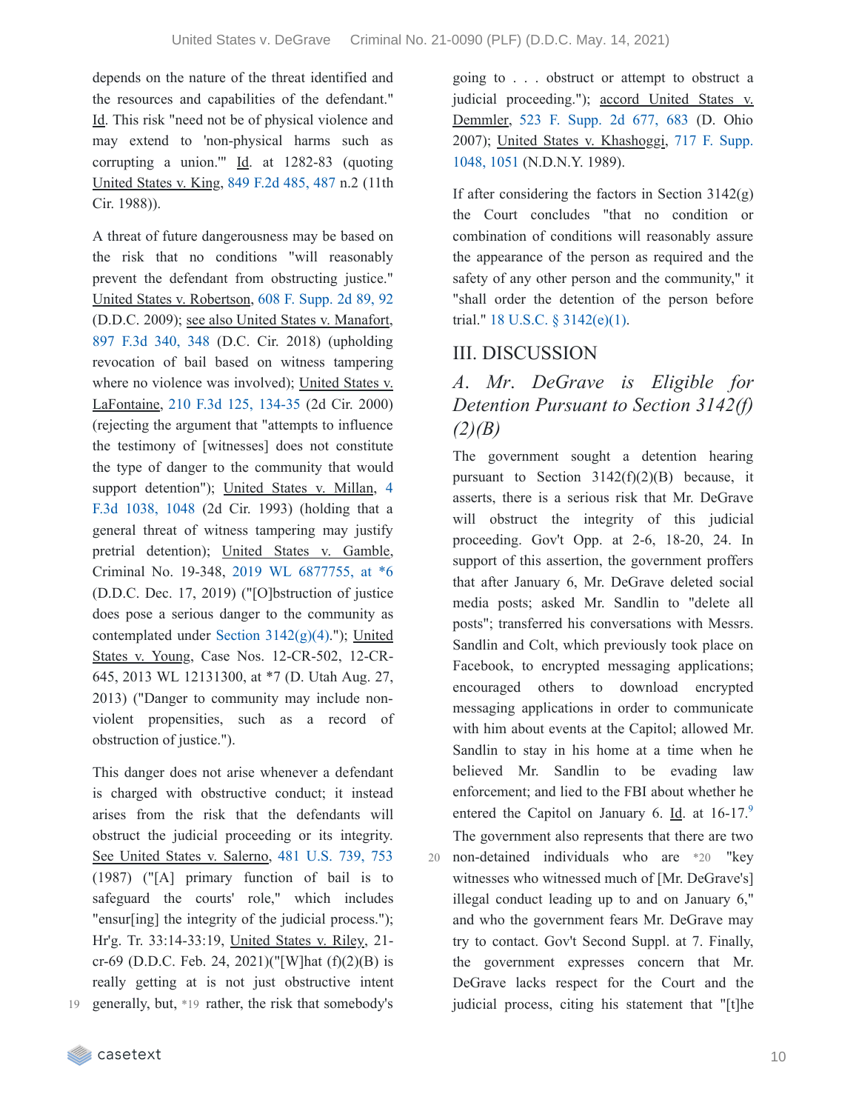depends on the nature of the threat identified and the resources and capabilities of the defendant." Id. This risk "need not be of physical violence and may extend to 'non-physical harms such as corrupting a union.""  $\underline{Id}$ . at 1282-83 (quoting United States v. King, 849 F.2d [485,](https://casetext.com/case/us-v-king-304#p487) 487 n.2 (11th Cir. 1988)).

A threat of future dangerousness may be based on the risk that no conditions "will reasonably prevent the defendant from obstructing justice." United States v. Robertson, 608 F. [Supp.](https://casetext.com/case/us-v-robertson-3#p92) 2d 89, 92 (D.D.C. 2009); see also United States v. Manafort, 897 F.3d [340,](https://casetext.com/case/united-states-v-manafort-9#p348) 348 (D.C. Cir. 2018) (upholding revocation of bail based on witness tampering where no violence was involved); United States v. LaFontaine, 210 F.3d 125, [134-35](https://casetext.com/case/us-v-lafontaine#p134) (2d Cir. 2000) (rejecting the argument that "attempts to influence the testimony of [witnesses] does not constitute the type of danger to the community that would support [detention"\);](https://casetext.com/case/us-v-millan-11#p1048) United States v. Millan, 4 F.3d 1038, 1048 (2d Cir. 1993) (holding that a general threat of witness tampering may justify pretrial detention); United States v. Gamble, Criminal No. 19-348, 2019 WL [6877755,](https://casetext.com/case/united-states-v-gamble-43#p6) at \*6 (D.D.C. Dec. 17, 2019) ("[O]bstruction of justice does pose a serious danger to the community as contemplated under Section [3142\(g\)\(4\).](https://casetext.com/statute/united-states-code/title-18-crimes-and-criminal-procedure/part-ii-criminal-procedure/chapter-207-release-and-detention-pending-judicial-proceedings/section-3142-release-or-detention-of-a-defendant-pending-trial)"); United States v. Young, Case Nos. 12-CR-502, 12-CR-645, 2013 WL 12131300, at \*7 (D. Utah Aug. 27, 2013) ("Danger to community may include nonviolent propensities, such as a record of obstruction of justice.").

This danger does not arise whenever a defendant is charged with obstructive conduct; it instead arises from the risk that the defendants will obstruct the judicial proceeding or its integrity. See United States v. Salerno, 481 [U.S.](https://casetext.com/case/united-states-v-salerno-7#p753) 739, 753 (1987) ("[A] primary function of bail is to safeguard the courts' role," which includes "ensur[ing] the integrity of the judicial process."); Hr'g. Tr. 33:14-33:19, United States v. Riley, 21 cr-69 (D.D.C. Feb. 24, 2021)("[W]hat  $(f)(2)(B)$  is really getting at is not just obstructive intent generally, but, \*19 rather, the risk that somebody's 19 going to . . . obstruct or attempt to obstruct a judicial proceeding."); accord United States v. Demmler, 523 F. [Supp.](https://casetext.com/case/us-v-demmler-3#p683) 2d 677, 683 (D. Ohio 2007); United States v. [Khashoggi,](https://casetext.com/case/united-states-v-khashoggi#p1051) 717 F. Supp. 1048, 1051 (N.D.N.Y. 1989).

If after considering the factors in Section  $3142(g)$ the Court concludes "that no condition or combination of conditions will reasonably assure the appearance of the person as required and the safety of any other person and the community," it "shall order the detention of the person before trial." 18 U.S.C. § [3142\(e\)\(1\).](https://casetext.com/statute/united-states-code/title-18-crimes-and-criminal-procedure/part-ii-criminal-procedure/chapter-207-release-and-detention-pending-judicial-proceedings/section-3142-release-or-detention-of-a-defendant-pending-trial)

## III. DISCUSSION

# *A*. *Mr*. *DeGrave is Eligible for Detention Pursuant to Section 3142(f) (2)(B)*

The government sought a detention hearing pursuant to Section  $3142(f)(2)(B)$  because, it asserts, there is a serious risk that Mr. DeGrave will obstruct the integrity of this judicial proceeding. Gov't Opp. at 2-6, 18-20, 24. In support of this assertion, the government proffers that after January 6, Mr. DeGrave deleted social media posts; asked Mr. Sandlin to "delete all posts"; transferred his conversations with Messrs. Sandlin and Colt, which previously took place on Facebook, to encrypted messaging applications; encouraged others to download encrypted messaging applications in order to communicate with him about events at the Capitol; allowed Mr. Sandlin to stay in his home at a time when he believed Mr. Sandlin to be evading law enforcement; and lied to the FBI about whether he entered the Capitol on January 6. Id. at  $16-17$ .<sup>[9](https://casetext.com/_print/doc/united-states-v-degrave-5?_printIncludeHighlights=false&_printIncludeKeyPassages=false&_printIsTwoColumn=true&_printEmail=&_printHighlightsKey=#N197115)</sup> The government also represents that there are two non-detained individuals who are \*20 "key 20 witnesses who witnessed much of [Mr. DeGrave's] illegal conduct leading up to and on January 6," and who the government fears Mr. DeGrave may try to contact. Gov't Second Suppl. at 7. Finally, the government expresses concern that Mr. DeGrave lacks respect for the Court and the judicial process, citing his statement that "[t]he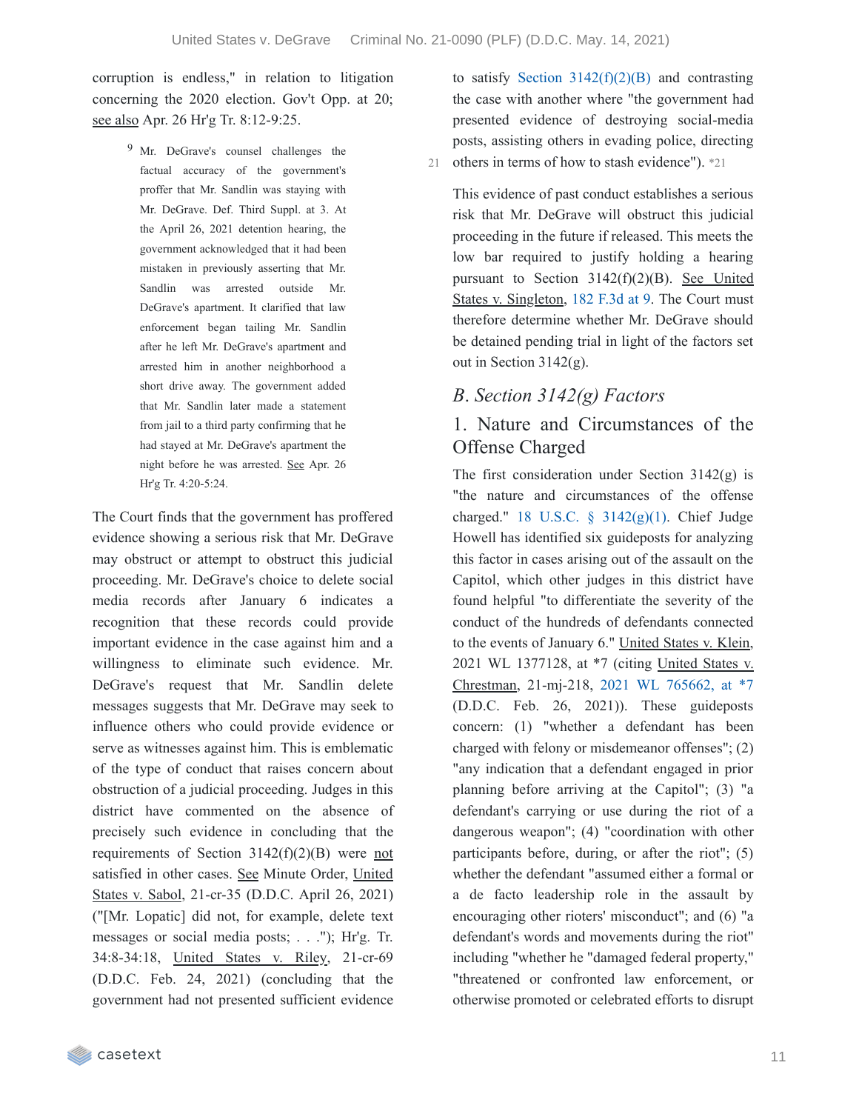corruption is endless," in relation to litigation concerning the 2020 election. Gov't Opp. at 20; see also Apr. 26 Hr'g Tr. 8:12-9:25.

> 9 Mr. DeGrave's counsel challenges the factual accuracy of the government's proffer that Mr. Sandlin was staying with Mr. DeGrave. Def. Third Suppl. at 3. At the April 26, 2021 detention hearing, the government acknowledged that it had been mistaken in previously asserting that Mr. Sandlin was arrested outside Mr. DeGrave's apartment. It clarified that law enforcement began tailing Mr. Sandlin after he left Mr. DeGrave's apartment and arrested him in another neighborhood a short drive away. The government added that Mr. Sandlin later made a statement from jail to a third party confirming that he had stayed at Mr. DeGrave's apartment the night before he was arrested. See Apr. 26 Hr'g Tr. 4:20-5:24.

The Court finds that the government has proffered evidence showing a serious risk that Mr. DeGrave may obstruct or attempt to obstruct this judicial proceeding. Mr. DeGrave's choice to delete social media records after January 6 indicates a recognition that these records could provide important evidence in the case against him and a willingness to eliminate such evidence. Mr. DeGrave's request that Mr. Sandlin delete messages suggests that Mr. DeGrave may seek to influence others who could provide evidence or serve as witnesses against him. This is emblematic of the type of conduct that raises concern about obstruction of a judicial proceeding. Judges in this district have commented on the absence of precisely such evidence in concluding that the requirements of Section 3142(f)(2)(B) were not satisfied in other cases. See Minute Order, United States v. Sabol, 21-cr-35 (D.D.C. April 26, 2021) ("[Mr. Lopatic] did not, for example, delete text messages or social media posts; . . ."); Hr'g. Tr. 34:8-34:18, United States v. Riley, 21-cr-69 (D.D.C. Feb. 24, 2021) (concluding that the government had not presented sufficient evidence

to satisfy Section  $3142(f)(2)(B)$  and contrasting the case with another where "the government had presented evidence of destroying social-media posts, assisting others in evading police, directing 21 others in terms of how to stash evidence"). \*21

This evidence of past conduct establishes a serious risk that Mr. DeGrave will obstruct this judicial proceeding in the future if released. This meets the low bar required to justify holding a hearing pursuant to Section 3142(f)(2)(B). See United States v. Singleton, 182 [F.3d](https://casetext.com/case/us-v-singleton-68#p9) at 9. The Court must therefore determine whether Mr. DeGrave should be detained pending trial in light of the factors set out in Section 3142(g).

### *B*. *Section 3142(g) Factors*

### 1. Nature and Circumstances of the Offense Charged

The first consideration under Section  $3142(g)$  is "the nature and circumstances of the offense charged." 18 U.S.C. § [3142\(g\)\(1\)](https://casetext.com/statute/united-states-code/title-18-crimes-and-criminal-procedure/part-ii-criminal-procedure/chapter-207-release-and-detention-pending-judicial-proceedings/section-3142-release-or-detention-of-a-defendant-pending-trial). Chief Judge Howell has identified six guideposts for analyzing this factor in cases arising out of the assault on the Capitol, which other judges in this district have found helpful "to differentiate the severity of the conduct of the hundreds of defendants connected to the events of January 6." United States v. Klein, 2021 WL 1377128, at \*7 (citing United States v. Chrestman, 21-mj-218, 2021 WL [765662,](https://casetext.com/case/united-states-v-chrestman-2#p7) at \*7 (D.D.C. Feb. 26, 2021)). These guideposts concern: (1) "whether a defendant has been charged with felony or misdemeanor offenses"; (2) "any indication that a defendant engaged in prior planning before arriving at the Capitol"; (3) "a defendant's carrying or use during the riot of a dangerous weapon"; (4) "coordination with other participants before, during, or after the riot"; (5) whether the defendant "assumed either a formal or a de facto leadership role in the assault by encouraging other rioters' misconduct"; and (6) "a defendant's words and movements during the riot" including "whether he "damaged federal property," "threatened or confronted law enforcement, or otherwise promoted or celebrated efforts to disrupt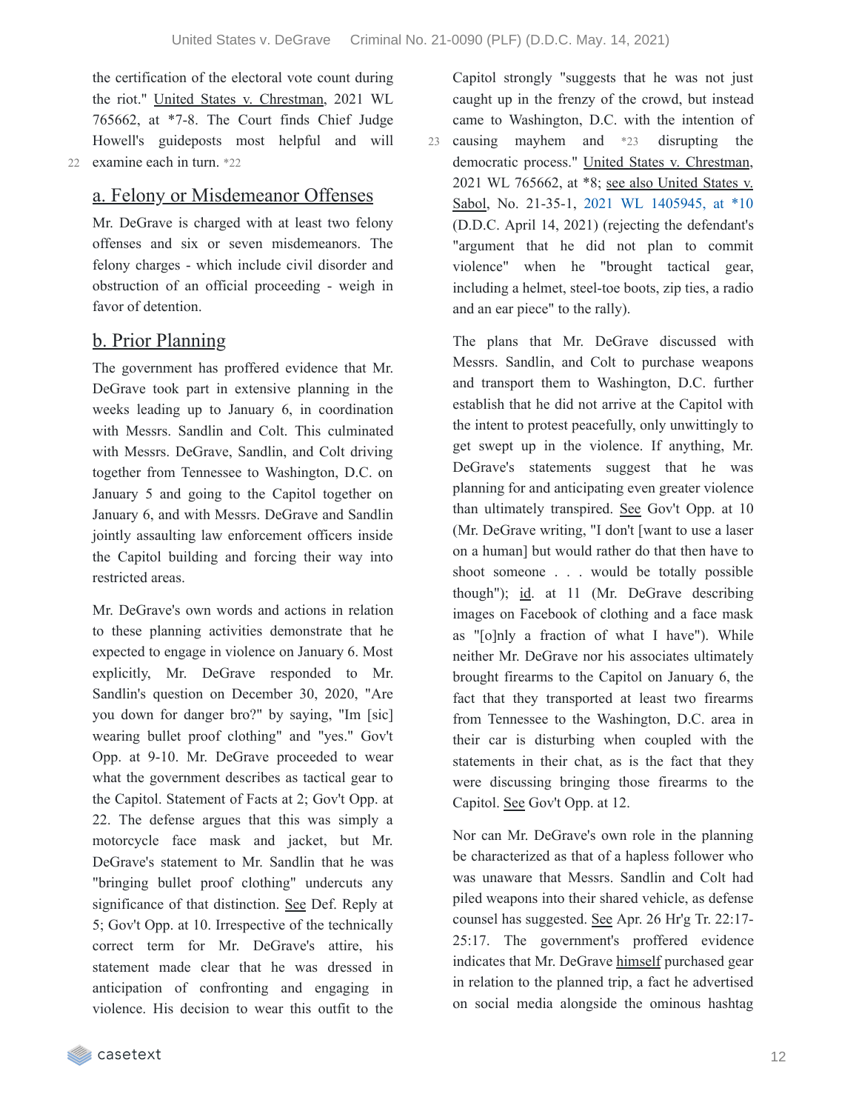the certification of the electoral vote count during the riot." United States v. Chrestman, 2021 WL 765662, at \*7-8. The Court finds Chief Judge Howell's guideposts most helpful and will 22 examine each in turn. \*22

#### a. Felony or Misdemeanor Offenses

Mr. DeGrave is charged with at least two felony offenses and six or seven misdemeanors. The felony charges - which include civil disorder and obstruction of an official proceeding - weigh in favor of detention.

#### b. Prior Planning

The government has proffered evidence that Mr. DeGrave took part in extensive planning in the weeks leading up to January 6, in coordination with Messrs. Sandlin and Colt. This culminated with Messrs. DeGrave, Sandlin, and Colt driving together from Tennessee to Washington, D.C. on January 5 and going to the Capitol together on January 6, and with Messrs. DeGrave and Sandlin jointly assaulting law enforcement officers inside the Capitol building and forcing their way into restricted areas.

Mr. DeGrave's own words and actions in relation to these planning activities demonstrate that he expected to engage in violence on January 6. Most explicitly, Mr. DeGrave responded to Mr. Sandlin's question on December 30, 2020, "Are you down for danger bro?" by saying, "Im [sic] wearing bullet proof clothing" and "yes." Gov't Opp. at 9-10. Mr. DeGrave proceeded to wear what the government describes as tactical gear to the Capitol. Statement of Facts at 2; Gov't Opp. at 22. The defense argues that this was simply a motorcycle face mask and jacket, but Mr. DeGrave's statement to Mr. Sandlin that he was "bringing bullet proof clothing" undercuts any significance of that distinction. See Def. Reply at 5; Gov't Opp. at 10. Irrespective of the technically correct term for Mr. DeGrave's attire, his statement made clear that he was dressed in anticipation of confronting and engaging in violence. His decision to wear this outfit to the

Capitol strongly "suggests that he was not just caught up in the frenzy of the crowd, but instead came to Washington, D.C. with the intention of causing mayhem and \*23 disrupting the democratic process." United States v. Chrestman, 2021 WL 765662, at \*8; see also United States v. Sabol, No. 21-35-1, 2021 WL [1405945,](https://casetext.com/case/united-states-v-sabol-1#p10) at \*10 (D.D.C. April 14, 2021) (rejecting the defendant's "argument that he did not plan to commit violence" when he "brought tactical gear, including a helmet, steel-toe boots, zip ties, a radio and an ear piece" to the rally). 23

The plans that Mr. DeGrave discussed with Messrs. Sandlin, and Colt to purchase weapons and transport them to Washington, D.C. further establish that he did not arrive at the Capitol with the intent to protest peacefully, only unwittingly to get swept up in the violence. If anything, Mr. DeGrave's statements suggest that he was planning for and anticipating even greater violence than ultimately transpired. See Gov't Opp. at 10 (Mr. DeGrave writing, "I don't [want to use a laser on a human] but would rather do that then have to shoot someone . . . would be totally possible though"); id. at 11 (Mr. DeGrave describing images on Facebook of clothing and a face mask as "[o]nly a fraction of what I have"). While neither Mr. DeGrave nor his associates ultimately brought firearms to the Capitol on January 6, the fact that they transported at least two firearms from Tennessee to the Washington, D.C. area in their car is disturbing when coupled with the statements in their chat, as is the fact that they were discussing bringing those firearms to the Capitol. See Gov't Opp. at 12.

Nor can Mr. DeGrave's own role in the planning be characterized as that of a hapless follower who was unaware that Messrs. Sandlin and Colt had piled weapons into their shared vehicle, as defense counsel has suggested. See Apr. 26 Hr'g Tr. 22:17- 25:17. The government's proffered evidence indicates that Mr. DeGrave himself purchased gear in relation to the planned trip, a fact he advertised on social media alongside the ominous hashtag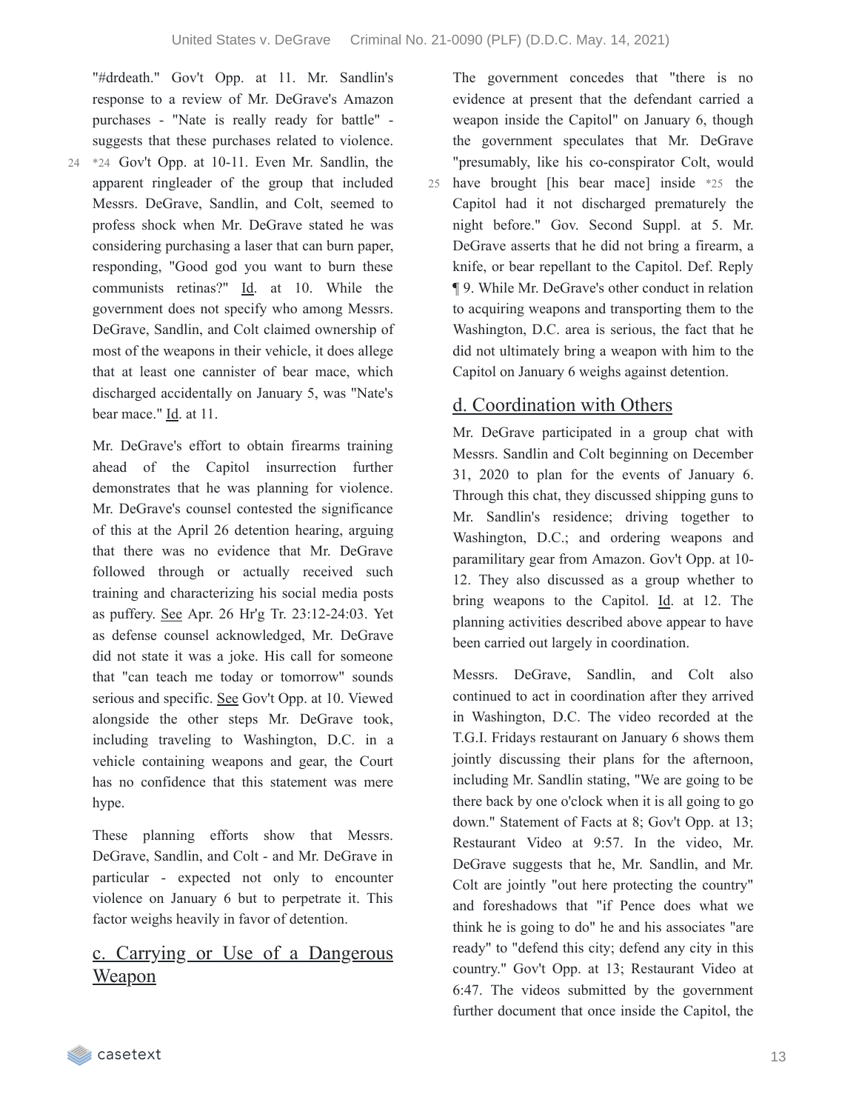"#drdeath." Gov't Opp. at 11. Mr. Sandlin's response to a review of Mr. DeGrave's Amazon purchases - "Nate is really ready for battle" suggests that these purchases related to violence.

 $24$  \*24 Gov't Opp. at 10-11. Even Mr. Sandlin, the apparent ringleader of the group that included Messrs. DeGrave, Sandlin, and Colt, seemed to profess shock when Mr. DeGrave stated he was considering purchasing a laser that can burn paper, responding, "Good god you want to burn these communists retinas?" Id. at 10. While the government does not specify who among Messrs. DeGrave, Sandlin, and Colt claimed ownership of most of the weapons in their vehicle, it does allege that at least one cannister of bear mace, which discharged accidentally on January 5, was "Nate's bear mace." Id. at 11.

Mr. DeGrave's effort to obtain firearms training ahead of the Capitol insurrection further demonstrates that he was planning for violence. Mr. DeGrave's counsel contested the significance of this at the April 26 detention hearing, arguing that there was no evidence that Mr. DeGrave followed through or actually received such training and characterizing his social media posts as puffery. See Apr. 26 Hr'g Tr. 23:12-24:03. Yet as defense counsel acknowledged, Mr. DeGrave did not state it was a joke. His call for someone that "can teach me today or tomorrow" sounds serious and specific. See Gov't Opp. at 10. Viewed alongside the other steps Mr. DeGrave took, including traveling to Washington, D.C. in a vehicle containing weapons and gear, the Court has no confidence that this statement was mere hype.

These planning efforts show that Messrs. DeGrave, Sandlin, and Colt - and Mr. DeGrave in particular - expected not only to encounter violence on January 6 but to perpetrate it. This factor weighs heavily in favor of detention.

# c. Carrying or Use of a Dangerous <u>Weapon</u>

The government concedes that "there is no evidence at present that the defendant carried a weapon inside the Capitol" on January 6, though the government speculates that Mr. DeGrave "presumably, like his co-conspirator Colt, would have brought [his bear mace] inside \*25 the 25 Capitol had it not discharged prematurely the night before." Gov. Second Suppl. at 5. Mr. DeGrave asserts that he did not bring a firearm, a knife, or bear repellant to the Capitol. Def. Reply ¶ 9. While Mr. DeGrave's other conduct in relation to acquiring weapons and transporting them to the Washington, D.C. area is serious, the fact that he did not ultimately bring a weapon with him to the

### d. Coordination with Others

Capitol on January 6 weighs against detention.

Mr. DeGrave participated in a group chat with Messrs. Sandlin and Colt beginning on December 31, 2020 to plan for the events of January 6. Through this chat, they discussed shipping guns to Mr. Sandlin's residence; driving together to Washington, D.C.; and ordering weapons and paramilitary gear from Amazon. Gov't Opp. at 10- 12. They also discussed as a group whether to bring weapons to the Capitol. Id. at 12. The planning activities described above appear to have been carried out largely in coordination.

Messrs. DeGrave, Sandlin, and Colt also continued to act in coordination after they arrived in Washington, D.C. The video recorded at the T.G.I. Fridays restaurant on January 6 shows them jointly discussing their plans for the afternoon, including Mr. Sandlin stating, "We are going to be there back by one o'clock when it is all going to go down." Statement of Facts at 8; Gov't Opp. at 13; Restaurant Video at 9:57. In the video, Mr. DeGrave suggests that he, Mr. Sandlin, and Mr. Colt are jointly "out here protecting the country" and foreshadows that "if Pence does what we think he is going to do" he and his associates "are ready" to "defend this city; defend any city in this country." Gov't Opp. at 13; Restaurant Video at 6:47. The videos submitted by the government further document that once inside the Capitol, the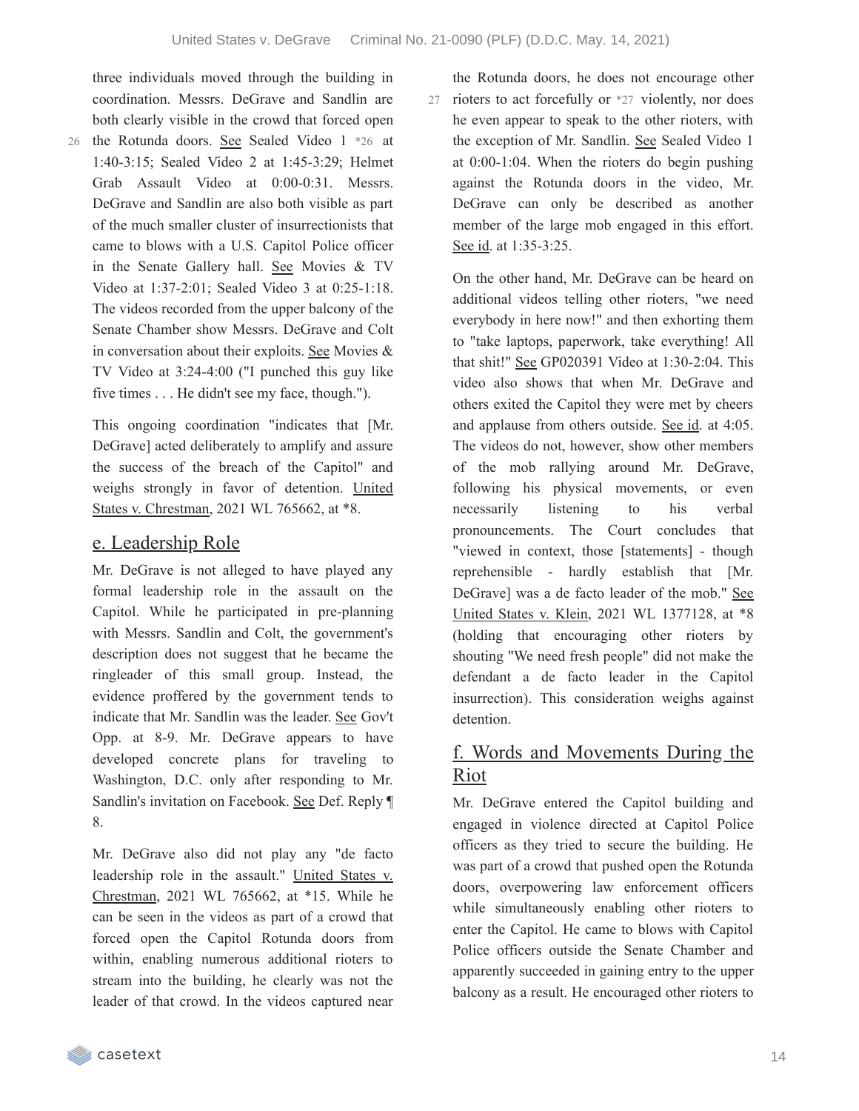three individuals moved through the building in coordination. Messrs. DeGrave and Sandlin are both clearly visible in the crowd that forced open

26 the Rotunda doors. See Sealed Video 1 \*26 at 1:40-3:15; Sealed Video 2 at 1:45-3:29; Helmet Grab Assault Video at 0:00-0:31. Messrs. DeGrave and Sandlin are also both visible as part of the much smaller cluster of insurrectionists that came to blows with a U.S. Capitol Police officer in the Senate Gallery hall. See Movies & TV Video at 1:37-2:01; Sealed Video 3 at 0:25-1:18.

The videos recorded from the upper balcony of the Senate Chamber show Messrs. DeGrave and Colt in conversation about their exploits. See Movies & TV Video at 3:24-4:00 ("I punched this guy like five times . . . He didn't see my face, though.").

This ongoing coordination "indicates that [Mr. DeGrave] acted deliberately to amplify and assure the success of the breach of the Capitol" and weighs strongly in favor of detention. United States v. Chrestman, 2021 WL 765662, at \*8.

### e. Leadership Role

Mr. DeGrave is not alleged to have played any formal leadership role in the assault on the Capitol. While he participated in pre-planning with Messrs. Sandlin and Colt, the government's description does not suggest that he became the ringleader of this small group. Instead, the evidence proffered by the government tends to indicate that Mr. Sandlin was the leader. See Gov't Opp. at 8-9. Mr. DeGrave appears to have developed concrete plans for traveling to Washington, D.C. only after responding to Mr. Sandlin's invitation on Facebook. See Def. Reply ¶ 8.

Mr. DeGrave also did not play any "de facto leadership role in the assault." United States v. Chrestman, 2021 WL 765662, at \*15. While he can be seen in the videos as part of a crowd that forced open the Capitol Rotunda doors from within, enabling numerous additional rioters to stream into the building, he clearly was not the leader of that crowd. In the videos captured near

the Rotunda doors, he does not encourage other 27 rioters to act forcefully or \*27 violently, nor does he even appear to speak to the other rioters, with the exception of Mr. Sandlin. See Sealed Video 1 at 0:00-1:04. When the rioters do begin pushing against the Rotunda doors in the video, Mr. DeGrave can only be described as another member of the large mob engaged in this effort. See id. at 1:35-3:25.

On the other hand, Mr. DeGrave can be heard on additional videos telling other rioters, "we need everybody in here now!" and then exhorting them to "take laptops, paperwork, take everything! All that shit!" See GP020391 Video at 1:30-2:04. This video also shows that when Mr. DeGrave and others exited the Capitol they were met by cheers and applause from others outside. See id. at 4:05. The videos do not, however, show other members of the mob rallying around Mr. DeGrave, following his physical movements, or even necessarily listening to his verbal pronouncements. The Court concludes that "viewed in context, those [statements] - though reprehensible - hardly establish that [Mr. DeGrave] was a de facto leader of the mob." See United States v. Klein, 2021 WL 1377128, at \*8 (holding that encouraging other rioters by shouting "We need fresh people" did not make the defendant a de facto leader in the Capitol insurrection). This consideration weighs against detention.

### f. Words and Movements During the Riot

Mr. DeGrave entered the Capitol building and engaged in violence directed at Capitol Police officers as they tried to secure the building. He was part of a crowd that pushed open the Rotunda doors, overpowering law enforcement officers while simultaneously enabling other rioters to enter the Capitol. He came to blows with Capitol Police officers outside the Senate Chamber and apparently succeeded in gaining entry to the upper balcony as a result. He encouraged other rioters to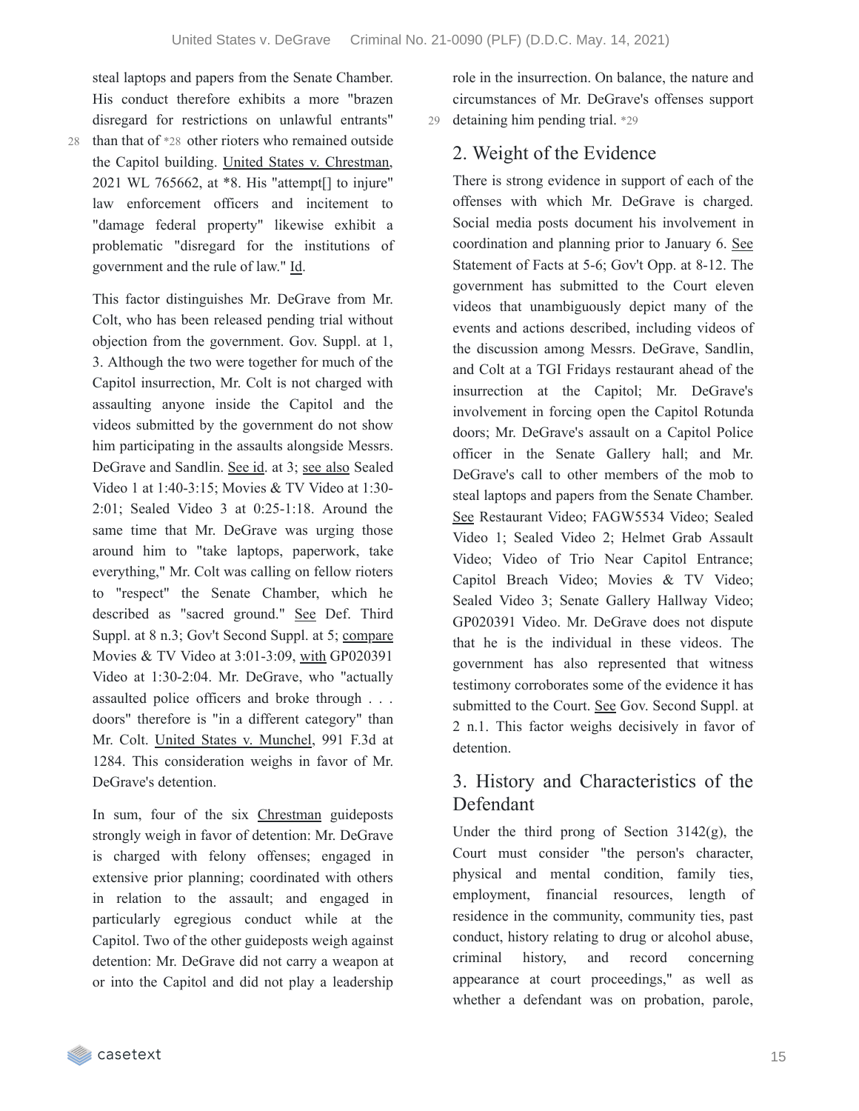steal laptops and papers from the Senate Chamber. His conduct therefore exhibits a more "brazen disregard for restrictions on unlawful entrants" 28 than that of \*28 other rioters who remained outside the Capitol building. United States v. Chrestman, 2021 WL 765662, at \*8. His "attempt[] to injure" law enforcement officers and incitement to "damage federal property" likewise exhibit a problematic "disregard for the institutions of government and the rule of law." Id.

This factor distinguishes Mr. DeGrave from Mr. Colt, who has been released pending trial without objection from the government. Gov. Suppl. at 1, 3. Although the two were together for much of the Capitol insurrection, Mr. Colt is not charged with assaulting anyone inside the Capitol and the videos submitted by the government do not show him participating in the assaults alongside Messrs. DeGrave and Sandlin. See id. at 3; see also Sealed Video 1 at 1:40-3:15; Movies & TV Video at 1:30- 2:01; Sealed Video 3 at 0:25-1:18. Around the same time that Mr. DeGrave was urging those around him to "take laptops, paperwork, take everything," Mr. Colt was calling on fellow rioters to "respect" the Senate Chamber, which he described as "sacred ground." See Def. Third Suppl. at 8 n.3; Gov't Second Suppl. at 5; compare Movies & TV Video at 3:01-3:09, with GP020391 Video at 1:30-2:04. Mr. DeGrave, who "actually assaulted police officers and broke through . . . doors" therefore is "in a different category" than Mr. Colt. United States v. Munchel, 991 F.3d at 1284. This consideration weighs in favor of Mr. DeGrave's detention.

In sum, four of the six Chrestman guideposts strongly weigh in favor of detention: Mr. DeGrave is charged with felony offenses; engaged in extensive prior planning; coordinated with others in relation to the assault; and engaged in particularly egregious conduct while at the Capitol. Two of the other guideposts weigh against detention: Mr. DeGrave did not carry a weapon at or into the Capitol and did not play a leadership

role in the insurrection. On balance, the nature and circumstances of Mr. DeGrave's offenses support 29 detaining him pending trial. \*29

### 2. Weight of the Evidence

There is strong evidence in support of each of the offenses with which Mr. DeGrave is charged. Social media posts document his involvement in coordination and planning prior to January 6. See Statement of Facts at 5-6; Gov't Opp. at 8-12. The government has submitted to the Court eleven videos that unambiguously depict many of the events and actions described, including videos of the discussion among Messrs. DeGrave, Sandlin, and Colt at a TGI Fridays restaurant ahead of the insurrection at the Capitol; Mr. DeGrave's involvement in forcing open the Capitol Rotunda doors; Mr. DeGrave's assault on a Capitol Police officer in the Senate Gallery hall; and Mr. DeGrave's call to other members of the mob to steal laptops and papers from the Senate Chamber. See Restaurant Video; FAGW5534 Video; Sealed Video 1; Sealed Video 2; Helmet Grab Assault Video; Video of Trio Near Capitol Entrance; Capitol Breach Video; Movies & TV Video; Sealed Video 3; Senate Gallery Hallway Video; GP020391 Video. Mr. DeGrave does not dispute that he is the individual in these videos. The government has also represented that witness testimony corroborates some of the evidence it has submitted to the Court. See Gov. Second Suppl. at 2 n.1. This factor weighs decisively in favor of detention.

## 3. History and Characteristics of the Defendant

Under the third prong of Section  $3142(g)$ , the Court must consider "the person's character, physical and mental condition, family ties, employment, financial resources, length of residence in the community, community ties, past conduct, history relating to drug or alcohol abuse, criminal history, and record concerning appearance at court proceedings," as well as whether a defendant was on probation, parole,

casetext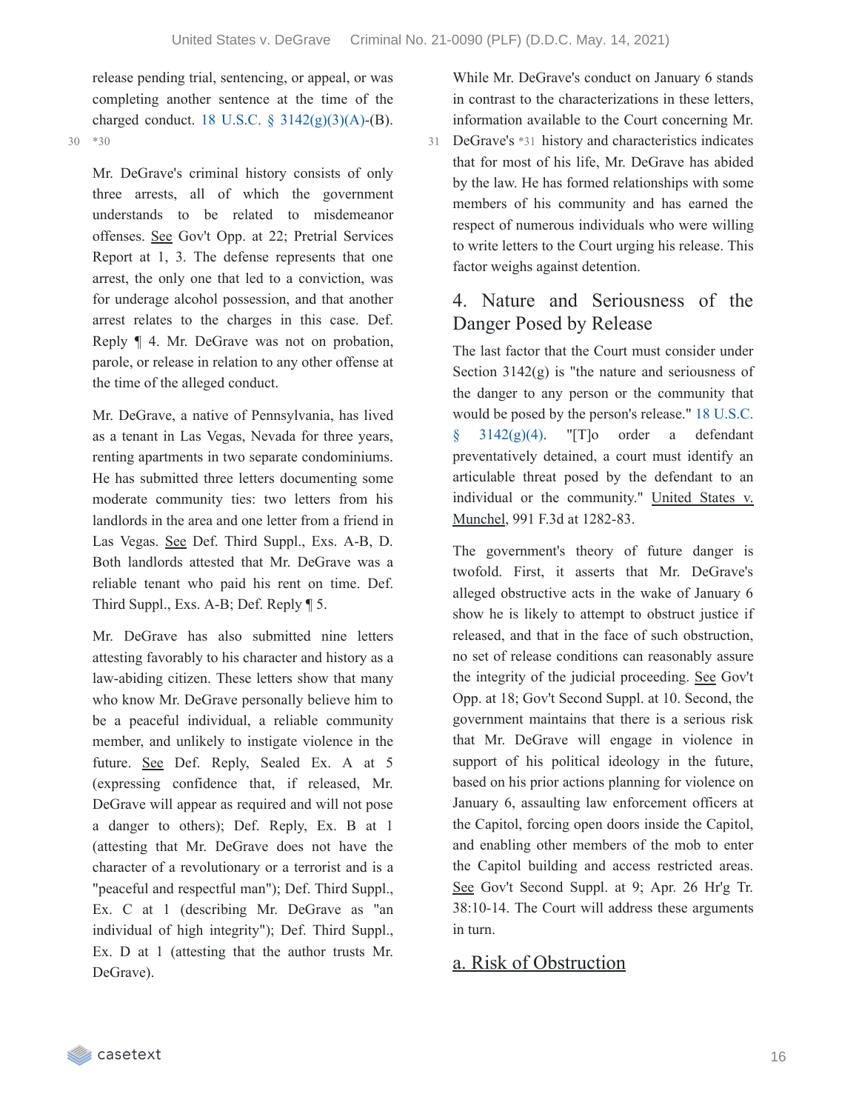release pending trial, sentencing, or appeal, or was completing another sentence at the time of the charged conduct. 18 U.S.C.  $\S$  [3142\(g\)\(3\)\(A\)](https://casetext.com/statute/united-states-code/title-18-crimes-and-criminal-procedure/part-ii-criminal-procedure/chapter-207-release-and-detention-pending-judicial-proceedings/section-3142-release-or-detention-of-a-defendant-pending-trial)-(B).

30 \*30

Mr. DeGrave's criminal history consists of only three arrests, all of which the government understands to be related to misdemeanor offenses. See Gov't Opp. at 22; Pretrial Services Report at 1, 3. The defense represents that one arrest, the only one that led to a conviction, was for underage alcohol possession, and that another arrest relates to the charges in this case. Def. Reply ¶ 4. Mr. DeGrave was not on probation, parole, or release in relation to any other offense at the time of the alleged conduct.

Mr. DeGrave, a native of Pennsylvania, has lived as a tenant in Las Vegas, Nevada for three years, renting apartments in two separate condominiums. He has submitted three letters documenting some moderate community ties: two letters from his landlords in the area and one letter from a friend in Las Vegas. See Def. Third Suppl., Exs. A-B, D. Both landlords attested that Mr. DeGrave was a reliable tenant who paid his rent on time. Def. Third Suppl., Exs. A-B; Def. Reply ¶ 5.

Mr. DeGrave has also submitted nine letters attesting favorably to his character and history as a law-abiding citizen. These letters show that many who know Mr. DeGrave personally believe him to be a peaceful individual, a reliable community member, and unlikely to instigate violence in the future. See Def. Reply, Sealed Ex. A at 5 (expressing confidence that, if released, Mr. DeGrave will appear as required and will not pose a danger to others); Def. Reply, Ex. B at 1 (attesting that Mr. DeGrave does not have the character of a revolutionary or a terrorist and is a "peaceful and respectful man"); Def. Third Suppl., Ex. C at 1 (describing Mr. DeGrave as "an individual of high integrity"); Def. Third Suppl., Ex. D at 1 (attesting that the author trusts Mr. DeGrave).

While Mr. DeGrave's conduct on January 6 stands in contrast to the characterizations in these letters, information available to the Court concerning Mr.

DeGrave's \*31 history and characteristics indicates 31 that for most of his life, Mr. DeGrave has abided by the law. He has formed relationships with some members of his community and has earned the respect of numerous individuals who were willing to write letters to the Court urging his release. This factor weighs against detention.

# 4. Nature and Seriousness of the Danger Posed by Release

The last factor that the Court must consider under Section 3142(g) is "the nature and seriousness of the danger to any person or the community that would be posed by the person's release." 18 U.S.C.  $3142(g)(4)$ . "[T]o order a defendant preventatively detained, a court must identify an articulable threat posed by the defendant to an individual or the community." United States v. Munchel, 991 F.3d at 1282-83.

The government's theory of future danger is twofold. First, it asserts that Mr. DeGrave's alleged obstructive acts in the wake of January 6 show he is likely to attempt to obstruct justice if released, and that in the face of such obstruction, no set of release conditions can reasonably assure the integrity of the judicial proceeding. See Gov't Opp. at 18; Gov't Second Suppl. at 10. Second, the government maintains that there is a serious risk that Mr. DeGrave will engage in violence in support of his political ideology in the future, based on his prior actions planning for violence on January 6, assaulting law enforcement officers at the Capitol, forcing open doors inside the Capitol, and enabling other members of the mob to enter the Capitol building and access restricted areas. See Gov't Second Suppl. at 9; Apr. 26 Hr'g Tr. 38:10-14. The Court will address these arguments in turn.

### a. Risk of Obstruction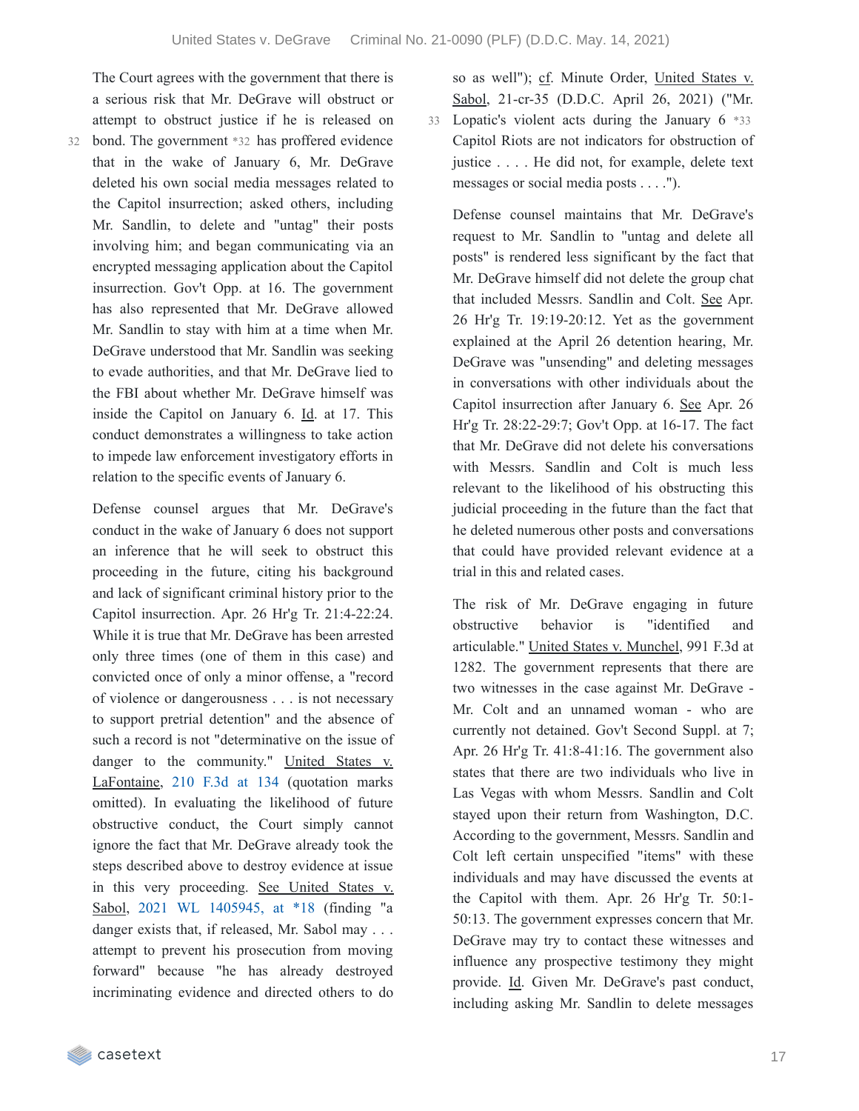The Court agrees with the government that there is a serious risk that Mr. DeGrave will obstruct or attempt to obstruct justice if he is released on

bond. The government \*32 has proffered evidence 32 that in the wake of January 6, Mr. DeGrave deleted his own social media messages related to the Capitol insurrection; asked others, including Mr. Sandlin, to delete and "untag" their posts involving him; and began communicating via an encrypted messaging application about the Capitol insurrection. Gov't Opp. at 16. The government has also represented that Mr. DeGrave allowed Mr. Sandlin to stay with him at a time when Mr. DeGrave understood that Mr. Sandlin was seeking to evade authorities, and that Mr. DeGrave lied to the FBI about whether Mr. DeGrave himself was inside the Capitol on January 6. Id. at 17. This conduct demonstrates a willingness to take action to impede law enforcement investigatory efforts in relation to the specific events of January 6.

Defense counsel argues that Mr. DeGrave's conduct in the wake of January 6 does not support an inference that he will seek to obstruct this proceeding in the future, citing his background and lack of significant criminal history prior to the Capitol insurrection. Apr. 26 Hr'g Tr. 21:4-22:24. While it is true that Mr. DeGrave has been arrested only three times (one of them in this case) and convicted once of only a minor offense, a "record of violence or dangerousness . . . is not necessary to support pretrial detention" and the absence of such a record is not "determinative on the issue of danger to the community." United States v. LaFontaine, 210 [F.3d](https://casetext.com/case/us-v-lafontaine#p134) at 134 (quotation marks omitted). In evaluating the likelihood of future obstructive conduct, the Court simply cannot ignore the fact that Mr. DeGrave already took the steps described above to destroy evidence at issue in this very proceeding. See United States v. Sabol, 2021 WL [1405945,](https://casetext.com/case/united-states-v-sabol-1#p18) at \*18 (finding "a danger exists that, if released, Mr. Sabol may . . . attempt to prevent his prosecution from moving forward" because "he has already destroyed incriminating evidence and directed others to do

so as well"); cf. Minute Order, United States v. Sabol, 21-cr-35 (D.D.C. April 26, 2021) ("Mr. Lopatic's violent acts during the January 6 \*33 33 Capitol Riots are not indicators for obstruction of justice . . . . He did not, for example, delete text messages or social media posts . . . .").

Defense counsel maintains that Mr. DeGrave's request to Mr. Sandlin to "untag and delete all posts" is rendered less significant by the fact that Mr. DeGrave himself did not delete the group chat that included Messrs. Sandlin and Colt. See Apr. 26 Hr'g Tr. 19:19-20:12. Yet as the government explained at the April 26 detention hearing, Mr. DeGrave was "unsending" and deleting messages in conversations with other individuals about the Capitol insurrection after January 6. See Apr. 26 Hr'g Tr. 28:22-29:7; Gov't Opp. at 16-17. The fact that Mr. DeGrave did not delete his conversations with Messrs. Sandlin and Colt is much less relevant to the likelihood of his obstructing this judicial proceeding in the future than the fact that he deleted numerous other posts and conversations that could have provided relevant evidence at a trial in this and related cases.

The risk of Mr. DeGrave engaging in future obstructive behavior is "identified and articulable." United States v. Munchel, 991 F.3d at 1282. The government represents that there are two witnesses in the case against Mr. DeGrave - Mr. Colt and an unnamed woman - who are currently not detained. Gov't Second Suppl. at 7; Apr. 26 Hr'g Tr. 41:8-41:16. The government also states that there are two individuals who live in Las Vegas with whom Messrs. Sandlin and Colt stayed upon their return from Washington, D.C. According to the government, Messrs. Sandlin and Colt left certain unspecified "items" with these individuals and may have discussed the events at the Capitol with them. Apr. 26 Hr'g Tr. 50:1- 50:13. The government expresses concern that Mr. DeGrave may try to contact these witnesses and influence any prospective testimony they might provide. Id. Given Mr. DeGrave's past conduct, including asking Mr. Sandlin to delete messages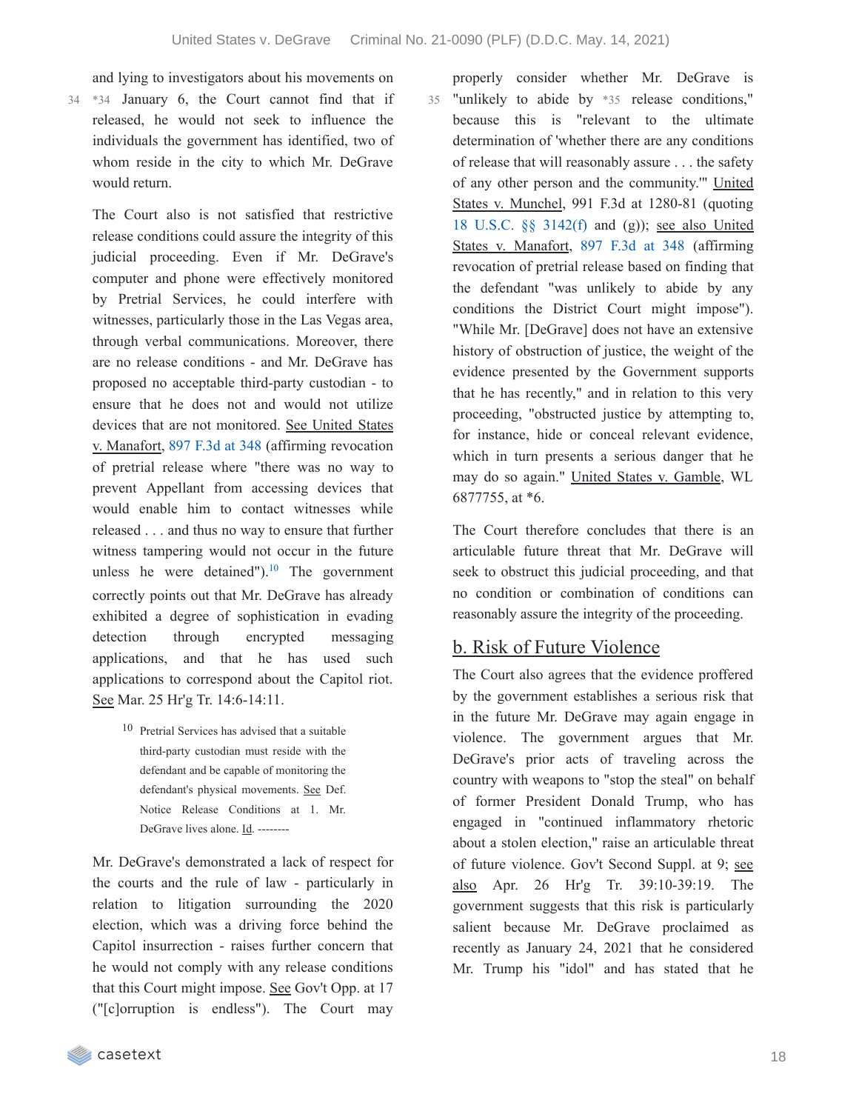and lying to investigators about his movements on

\*34 January 6, the Court cannot find that if 34 released, he would not seek to influence the individuals the government has identified, two of whom reside in the city to which Mr. DeGrave would return.

The Court also is not satisfied that restrictive release conditions could assure the integrity of this judicial proceeding. Even if Mr. DeGrave's computer and phone were effectively monitored by Pretrial Services, he could interfere with witnesses, particularly those in the Las Vegas area, through verbal communications. Moreover, there are no release conditions - and Mr. DeGrave has proposed no acceptable third-party custodian - to ensure that he does not and would not utilize devices that are not monitored. See United States v. Manafort, 897 [F.3d](https://casetext.com/case/united-states-v-manafort-9#p348) at 348 (affirming revocation of pretrial release where "there was no way to prevent Appellant from accessing devices that would enable him to contact witnesses while released . . . and thus no way to ensure that further witness tampering would not occur in the future unless he were detained"). $^{10}$  $^{10}$  $^{10}$  The government correctly points out that Mr. DeGrave has already exhibited a degree of sophistication in evading detection through encrypted messaging applications, and that he has used such applications to correspond about the Capitol riot. See Mar. 25 Hr'g Tr. 14:6-14:11.

> 10 Pretrial Services has advised that a suitable third-party custodian must reside with the defendant and be capable of monitoring the defendant's physical movements. See Def. Notice Release Conditions at 1. Mr. DeGrave lives alone. Id. --------

Mr. DeGrave's demonstrated a lack of respect for the courts and the rule of law - particularly in relation to litigation surrounding the 2020 election, which was a driving force behind the Capitol insurrection - raises further concern that he would not comply with any release conditions that this Court might impose. See Gov't Opp. at 17 ("[c]orruption is endless"). The Court may

properly consider whether Mr. DeGrave is 35 "unlikely to abide by \*35 release conditions," because this is "relevant to the ultimate determination of 'whether there are any conditions of release that will reasonably assure . . . the safety of any other person and the community.'" United States v. Munchel, 991 F.3d at 1280-81 (quoting 18 U.S.C. §§ [3142\(f\)](https://casetext.com/statute/united-states-code/title-18-crimes-and-criminal-procedure/part-ii-criminal-procedure/chapter-207-release-and-detention-pending-judicial-proceedings/section-3142-release-or-detention-of-a-defendant-pending-trial) and (g)); see also United States v. Manafort, 897 [F.3d](https://casetext.com/case/united-states-v-manafort-9#p348) at 348 (affirming revocation of pretrial release based on finding that the defendant "was unlikely to abide by any conditions the District Court might impose"). "While Mr. [DeGrave] does not have an extensive history of obstruction of justice, the weight of the evidence presented by the Government supports that he has recently," and in relation to this very proceeding, "obstructed justice by attempting to, for instance, hide or conceal relevant evidence, which in turn presents a serious danger that he may do so again." United States v. Gamble, WL 6877755, at \*6.

The Court therefore concludes that there is an articulable future threat that Mr. DeGrave will seek to obstruct this judicial proceeding, and that no condition or combination of conditions can reasonably assure the integrity of the proceeding.

#### b. Risk of Future Violence

The Court also agrees that the evidence proffered by the government establishes a serious risk that in the future Mr. DeGrave may again engage in violence. The government argues that Mr. DeGrave's prior acts of traveling across the country with weapons to "stop the steal" on behalf of former President Donald Trump, who has engaged in "continued inflammatory rhetoric about a stolen election," raise an articulable threat of future violence. Gov't Second Suppl. at 9; see also Apr. 26 Hr'g Tr. 39:10-39:19. The government suggests that this risk is particularly salient because Mr. DeGrave proclaimed as recently as January 24, 2021 that he considered Mr. Trump his "idol" and has stated that he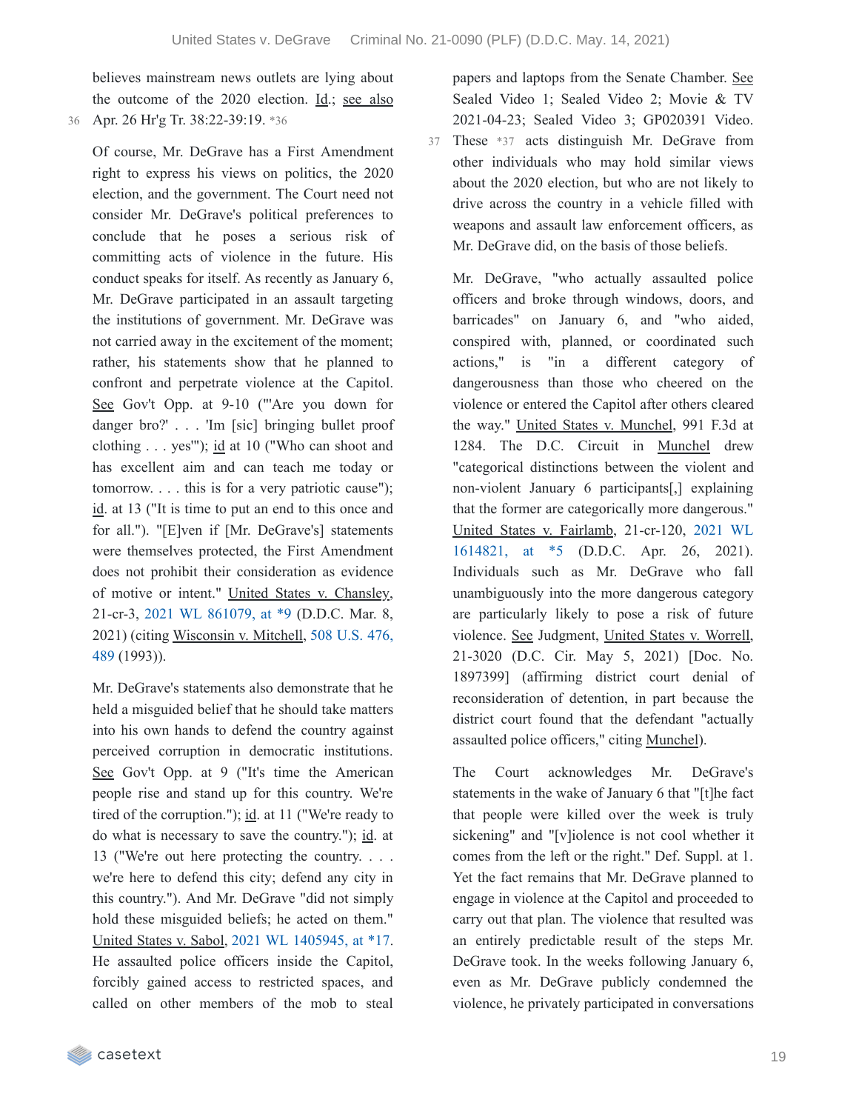believes mainstream news outlets are lying about the outcome of the 2020 election. Id.; see also 36 Apr. 26 Hr'g Tr. 38:22-39:19. \*36

Of course, Mr. DeGrave has a First Amendment right to express his views on politics, the 2020 election, and the government. The Court need not consider Mr. DeGrave's political preferences to conclude that he poses a serious risk of committing acts of violence in the future. His conduct speaks for itself. As recently as January 6, Mr. DeGrave participated in an assault targeting the institutions of government. Mr. DeGrave was not carried away in the excitement of the moment; rather, his statements show that he planned to confront and perpetrate violence at the Capitol. See Gov't Opp. at 9-10 ("'Are you down for danger bro?' . . . 'Im [sic] bringing bullet proof clothing . . . yes'"); id at 10 ("Who can shoot and has excellent aim and can teach me today or tomorrow. . . . this is for a very patriotic cause"); id. at 13 ("It is time to put an end to this once and for all."). "[E]ven if [Mr. DeGrave's] statements were themselves protected, the First Amendment does not prohibit their consideration as evidence of motive or intent." United States v. Chansley, 21-cr-3, 2021 WL [861079,](https://casetext.com/case/united-states-v-chansley-1#p9) at \*9 (D.D.C. Mar. 8, 2021) (citing [Wisconsin](https://casetext.com/case/wisconsin-v-mitchell#p489) v. Mitchell, 508 U.S. 476, 489 (1993)).

Mr. DeGrave's statements also demonstrate that he held a misguided belief that he should take matters into his own hands to defend the country against perceived corruption in democratic institutions. See Gov't Opp. at 9 ("It's time the American people rise and stand up for this country. We're tired of the corruption.");  $\underline{\text{id}}$ . at 11 ("We're ready to do what is necessary to save the country."); id. at 13 ("We're out here protecting the country. . . . we're here to defend this city; defend any city in this country."). And Mr. DeGrave "did not simply hold these misguided beliefs; he acted on them." United States v. Sabol, 2021 WL [1405945,](https://casetext.com/case/united-states-v-sabol-1#p17) at \*17. He assaulted police officers inside the Capitol, forcibly gained access to restricted spaces, and called on other members of the mob to steal

papers and laptops from the Senate Chamber. See Sealed Video 1; Sealed Video 2; Movie & TV 2021-04-23; Sealed Video 3; GP020391 Video. 37 These \*37 acts distinguish Mr. DeGrave from other individuals who may hold similar views about the 2020 election, but who are not likely to drive across the country in a vehicle filled with weapons and assault law enforcement officers, as Mr. DeGrave did, on the basis of those beliefs.

Mr. DeGrave, "who actually assaulted police officers and broke through windows, doors, and barricades" on January 6, and "who aided, conspired with, planned, or coordinated such actions," is "in a different category of dangerousness than those who cheered on the violence or entered the Capitol after others cleared the way." United States v. Munchel, 991 F.3d at 1284. The D.C. Circuit in Munchel drew "categorical distinctions between the violent and non-violent January 6 participants[,] explaining that the former are categorically more dangerous." United States v. Fairlamb, [21-cr-120,](https://casetext.com/case/united-states-v-fairlamb#p5) 2021 WL 1614821, at \*5 (D.D.C. Apr. 26, 2021). Individuals such as Mr. DeGrave who fall unambiguously into the more dangerous category are particularly likely to pose a risk of future violence. See Judgment, United States v. Worrell, 21-3020 (D.C. Cir. May 5, 2021) [Doc. No. 1897399] (affirming district court denial of reconsideration of detention, in part because the district court found that the defendant "actually assaulted police officers," citing Munchel).

The Court acknowledges Mr. DeGrave's statements in the wake of January 6 that "[t]he fact that people were killed over the week is truly sickening" and "[v]iolence is not cool whether it comes from the left or the right." Def. Suppl. at 1. Yet the fact remains that Mr. DeGrave planned to engage in violence at the Capitol and proceeded to carry out that plan. The violence that resulted was an entirely predictable result of the steps Mr. DeGrave took. In the weeks following January 6, even as Mr. DeGrave publicly condemned the violence, he privately participated in conversations